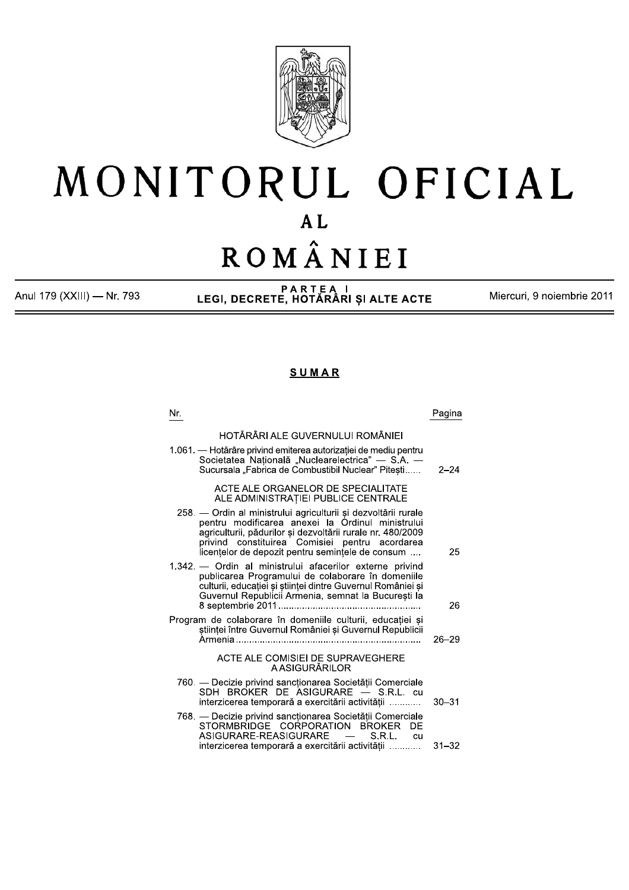

# MONITORUL OFICIAL  $AL$ ROMÂNIEI

Anul 179 (XXIII) - Nr. 793

PARTEA I<br>LEGI, DECRETE, HOTĂRÂRI ȘI ALTE ACTE

Miercuri, 9 noiembrie 2011

# **SUMAR**

| Pagina    |
|-----------|
|           |
| $2 - 24$  |
|           |
| 25        |
| 26        |
| $26 - 29$ |
|           |
| $30 - 31$ |
| $31 - 32$ |
|           |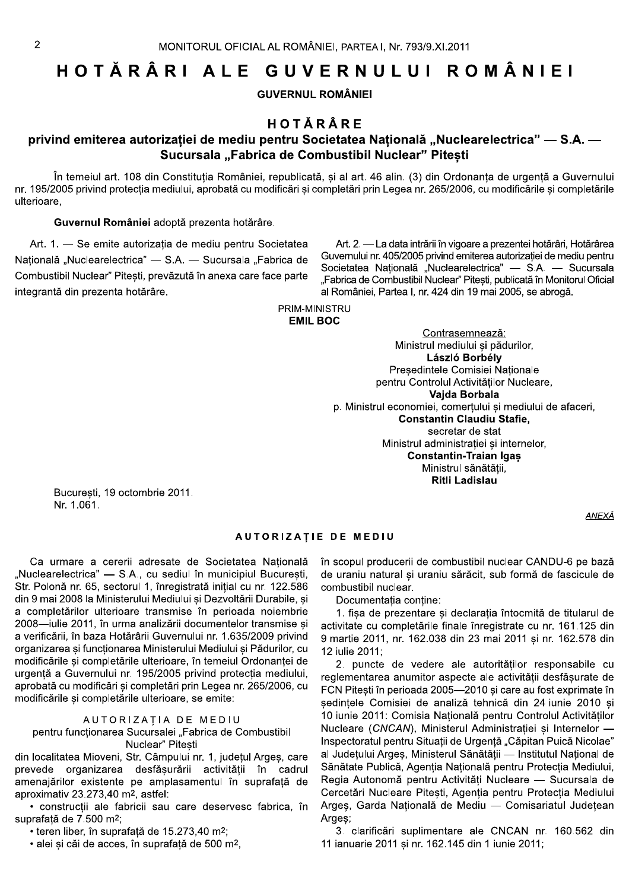# HOTĂRÂRI ALE GUVERNULUI ROMÂNIEI

**GUVERNUL ROMÂNIEI** 

# HOTĂRÂRE

# privind emiterea autorizației de mediu pentru Societatea Națională "Nuclearelectrica" — S.A. — Sucursala "Fabrica de Combustibil Nuclear" Pitesti

În temeiul art. 108 din Constitutia României, republicată, si al art. 46 alin. (3) din Ordonanta de urgentă a Guvernului nr. 195/2005 privind protecția mediului, aprobată cu modificări și completări prin Legea nr. 265/2006, cu modificările și completările ulterioare,

#### Guvernul României adoptă prezenta hotărâre.

Art. 1. - Se emite autorizația de mediu pentru Societatea Națională "Nuclearelectrica" — S.A. — Sucursala "Fabrica de Combustibil Nuclear" Pitesti, prevăzută în anexa care face parte integrantă din prezenta hotărâre.

Art. 2. - La data intrării în vigoare a prezentei hotărâri, Hotărârea Guvernului nr. 405/2005 privind emiterea autorizației de mediu pentru Societatea Națională "Nuclearelectrica" — S.A. — Sucursala "Fabrica de Combustibil Nuclear" Pitesti, publicată în Monitorul Oficial al României, Partea I, nr. 424 din 19 mai 2005, se abrogă.

PRIM-MINISTRU

# **EMIL BOC**

Contrasemnează: Ministrul mediului și pădurilor, László Borbély Președintele Comisiei Naționale pentru Controlul Activităților Nucleare, Vaida Borbala p. Ministrul economiei, comertului si mediului de afaceri, **Constantin Claudiu Stafie.** secretar de stat Ministrul administrației și internelor, **Constantin-Traian Igas** Ministrul sănătății, Ritli Ladislau

Bucuresti, 19 octombrie 2011. Nr. 1.061.

# **AUTORIZATIE DE MEDIU**

Ca urmare a cererii adresate de Societatea Natională "Nuclearelectrica" — S.A., cu sediul în municipiul București, Str. Polonă nr. 65, sectorul 1, înregistrată inițial cu nr. 122.586 din 9 mai 2008 la Ministerului Mediului și Dezvoltării Durabile, și a completărilor ulterioare transmise în perioada noiembrie 2008-iulie 2011, în urma analizării documentelor transmise și a verificării, în baza Hotărârii Guvernului nr. 1.635/2009 privind organizarea si functionarea Ministerului Mediului si Pădurilor, cu modificările și completările ulterioare, în temeiul Ordonanței de urgentă a Guvernului nr. 195/2005 privind protectia mediului, aprobată cu modificări si completări prin Legea nr. 265/2006, cu modificările și completările ulterioare, se emite:

## AUTORIZAȚIA DE MEDIU

pentru funcționarea Sucursalei "Fabrica de Combustibil Nuclear" Pitesti

din localitatea Mioveni, Str. Câmpului nr. 1, județul Argeș, care prevede organizarea desfășurării activității în cadrul amenajărilor existente pe amplasamentul în suprafată de aproximativ 23.273,40 m<sup>2</sup>, astfel:

· constructii ale fabricii sau care deservesc fabrica, în suprafață de 7.500 m<sup>2</sup>;

• teren liber. în suprafată de 15.273.40 m<sup>2</sup>:

· alei și căi de acces, în suprafață de 500 m<sup>2</sup>,

în scopul producerii de combustibil nuclear CANDU-6 pe bază de uraniu natural si uraniu sărăcit, sub formă de fascicule de combustibil nuclear.

Documentatia contine:

1. fișa de prezentare și declarația întocmită de titularul de activitate cu completările finale înregistrate cu nr. 161.125 din 9 martie 2011, nr. 162.038 din 23 mai 2011 și nr. 162.578 din 12 iulie 2011:

2. puncte de vedere ale autoritătilor responsabile cu reglementarea anumitor aspecte ale activitătii desfăsurate de FCN Pitești în perioada 2005-2010 și care au fost exprimate în sedintele Comisiei de analiză tehnică din 24 iunie 2010 si 10 iunie 2011: Comisia Natională pentru Controlul Activitătilor Nucleare (CNCAN), Ministerul Administrației și Internelor -Inspectoratul pentru Situatii de Urgentă "Căpitan Puică Nicolae" al Județului Argeș, Ministerul Sănătății - Institutul Național de Sănătate Publică, Agenția Națională pentru Protecția Mediului, Regia Autonomă pentru Activități Nucleare - Sucursala de Cercetări Nucleare Pitești, Agenția pentru Protecția Mediului Arges, Garda Națională de Mediu - Comisariatul Județean Araes:

3. clarificări suplimentare ale CNCAN nr. 160.562 din 11 ianuarie 2011 și nr. 162.145 din 1 iunie 2011;

**ANEXĂ**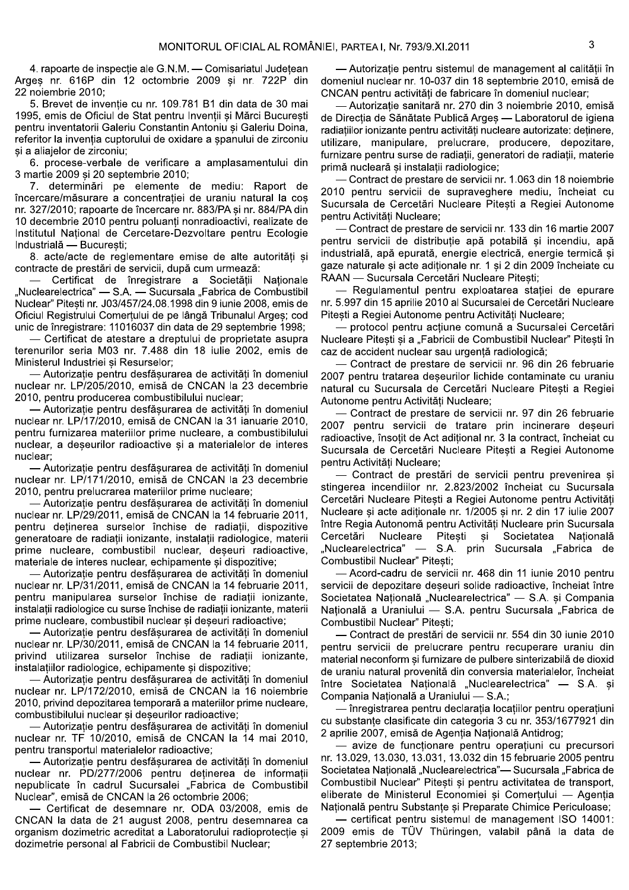4. rapoarte de inspectie ale G.N.M. — Comisariatul Judetean Arges nr. 616P din 12 octombrie 2009 si nr. 722P din 22 noiembrie 2010:

5. Brevet de inventie cu nr. 109.781 B1 din data de 30 mai 1995, emis de Oficiul de Stat pentru Inventii și Mărci București pentru inventatorii Galeriu Constantin Antoniu si Galeriu Doina. referitor la inventia cuptorului de oxidare a spanului de zirconiu și a aliajelor de zirconiu;

6. procese-verbale de verificare a amplasamentului din 3 martie 2009 și 20 septembrie 2010;

7. determinări pe elemente de mediu: Raport de încercare/măsurare a concentrației de uraniu natural la coș nr. 327/2010; rapoarte de încercare nr. 883/PA si nr. 884/PA din 10 decembrie 2010 pentru poluanți nonradioactivi, realizate de Institutul National de Cercetare-Dezvoltare pentru Ecologie Industrială - București;

8. acte/acte de reglementare emise de alte autorități și contracte de prestări de servicii, după cum urmează:

Certificat de înregistrare a Societății Naționale "Nuclearelectrica" — S.A. — Sucursala "Fabrica de Combustibil Nuclear" Pitești nr. J03/457/24.08.1998 din 9 iunie 2008, emis de Oficiul Registrului Comerțului de pe lângă Tribunalul Argeș; cod unic de înregistrare: 11016037 din data de 29 septembrie 1998;

- Certificat de atestare a dreptului de proprietate asupra terenurilor seria M03 nr. 7.488 din 18 iulie 2002, emis de Ministerul Industriei și Resurselor;

- Autorizatie pentru desfăsurarea de activităti în domeniul nuclear nr. LP/205/2010, emisă de CNCAN la 23 decembrie 2010, pentru producerea combustibilului nuclear;

- Autorizație pentru desfășurarea de activități în domeniul nuclear nr. LP/17/2010, emisă de CNCAN la 31 ianuarie 2010, pentru furnizarea materiilor prime nucleare, a combustibilului nuclear, a deseurilor radioactive și a materialelor de interes nuclear:

- Autorizație pentru desfășurarea de activități în domeniul nuclear nr. LP/171/2010, emisă de CNCAN la 23 decembrie 2010, pentru prelucrarea materiilor prime nucleare;

- Autorizație pentru desfășurarea de activități în domeniul nuclear nr. LP/29/2011, emisă de CNCAN la 14 februarie 2011, pentru deținerea surselor închise de radiații, dispozitive generatoare de radiatii ionizante, instalatii radiologice, materii prime nucleare, combustibil nuclear, deseuri radioactive, materiale de interes nuclear, echipamente si dispozitive;

- Autorizație pentru desfășurarea de activităti în domeniul nuclear nr. LP/31/2011, emisă de CNCAN la 14 februarie 2011, pentru manipularea surselor închise de radiații ionizante, instalatii radiologice cu surse închise de radiatii ionizante, materii prime nucleare, combustibil nuclear si deseuri radioactive;

- Autorizatie pentru desfăsurarea de activităti în domeniul nuclear nr. LP/30/2011, emisă de CNCAN la 14 februarie 2011, privind utilizarea surselor închise de radiatii ionizante. instalatiilor radiologice, echipamente si dispozitive:

- Autorizatie pentru desfăsurarea de activităti în domeniul nuclear nr. LP/172/2010, emisă de CNCAN la 16 noiembrie 2010, privind depozitarea temporară a materiilor prime nucleare. combustibilului nuclear si deseurilor radioactive;

Autorizație pentru desfășurarea de activități în domeniul nuclear nr. TF 10/2010, emisă de CNCAN la 14 mai 2010, pentru transportul materialelor radioactive;

- Autorizație pentru desfășurarea de activități în domeniul nuclear nr. PD/277/2006 pentru deținerea de informații nepublicate în cadrul Sucursalei "Fabrica de Combustibil Nuclear", emisă de CNCAN la 26 octombrie 2006;

- Certificat de desemnare nr. ODA 03/2008, emis de CNCAN la data de 21 august 2008, pentru desemnarea ca organism dozimetric acreditat a Laboratorului radioprotecție și dozimetrie personal al Fabricii de Combustibil Nuclear;

- Autorizatie pentru sistemul de management al calitătii în domeniul nuclear nr. 10-037 din 18 septembrie 2010, emisă de CNCAN pentru activități de fabricare în domeniul nuclear;

- Autorizatie sanitară nr. 270 din 3 noiembrie 2010, emisă de Direcția de Sănătate Publică Argeș — Laboratorul de igiena radiatiilor ionizante pentru activităti nucleare autorizate: detinere, utilizare, manipulare, prelucrare, producere, depozitare, furnizare pentru surse de radiatii, generatori de radiatii, materie primă nucleară și instalații radiologice;

- Contract de prestare de servicii nr. 1.063 din 18 noiembrie 2010 pentru servicii de supraveghere mediu, încheiat cu Sucursala de Cercetări Nucleare Pitești a Regiei Autonome pentru Activităti Nucleare:

- Contract de prestare de servicii nr. 133 din 16 martie 2007 pentru servicii de distributie apă potabilă si incendiu, apă industrială, apă epurată, energie electrică, energie termică și gaze naturale și acte adiționale nr. 1 și 2 din 2009 încheiate cu RAAN - Sucursala Cercetări Nucleare Pitesti;

Regulamentul pentru exploatarea statiei de epurare nr. 5.997 din 15 aprilie 2010 al Sucursalei de Cercetări Nucleare Pitesti a Regiei Autonome pentru Activități Nucleare;

- protocol pentru actiune comună a Sucursalei Cercetări Nucleare Pitești și a "Fabricii de Combustibil Nuclear" Pitești în caz de accident nuclear sau urgență radiologică;

- Contract de prestare de servicii nr. 96 din 26 februarie 2007 pentru tratarea deșeurilor lichide contaminate cu uraniu natural cu Sucursala de Cercetări Nucleare Pitesti a Regiei Autonome pentru Activităti Nucleare:

Contract de prestare de servicii nr. 97 din 26 februarie 2007 pentru servicii de tratare prin incinerare deșeuri radioactive, însotit de Act aditional nr. 3 la contract, încheiat cu Sucursala de Cercetări Nucleare Pitești a Regiei Autonome pentru Activităti Nucleare;

- Contract de prestări de servicii pentru prevenirea si stingerea incendiilor nr. 2.823/2002 încheiat cu Sucursala Cercetări Nucleare Pitești a Regiei Autonome pentru Activități Nucleare și acte adiționale nr. 1/2005 și nr. 2 din 17 iulie 2007 între Regia Autonomă pentru Activități Nucleare prin Sucursala Nucleare Pitesti si Societatea Cercetări Natională "Nuclearelectrica" — S.A. prin Sucursala "Fabrica de Combustibil Nuclear" Pitesti;

- Acord-cadru de servicii nr. 468 din 11 iunie 2010 pentru servicii de depozitare deseuri solide radioactive, încheiat între Societatea Natională "Nuclearelectrica" — S.A. și Compania Natională a Uraniului — S.A. pentru Sucursala "Fabrica de Combustibil Nuclear" Pitesti;

- Contract de prestări de servicii nr. 554 din 30 iunie 2010 pentru servicii de prelucrare pentru recuperare uraniu din material neconform și furnizare de pulbere sinterizabilă de dioxid de uraniu natural provenită din conversia materialelor, încheiat între Societatea Națională "Nuclearelectrica" — S.A. și Compania Națională a Uraniului - S.A.;

- înregistrarea pentru declarația locațiilor pentru operațiuni cu substante clasificate din categoria 3 cu nr. 353/1677921 din 2 aprilie 2007, emisă de Agenția Națională Antidrog;

avize de funcționare pentru operațiuni cu precursori nr. 13.029, 13.030, 13.031, 13.032 din 15 februarie 2005 pentru Societatea Natională "Nuclearelectrica" - Sucursala "Fabrica de Combustibil Nuclear" Pitesti si pentru activitatea de transport, eliberate de Ministerul Economiei si Comertului - Agentia Natională pentru Substante și Preparate Chimice Periculoase;

- certificat pentru sistemul de management ISO 14001: 2009 emis de TÜV Thüringen, valabil până la data de 27 septembrie 2013;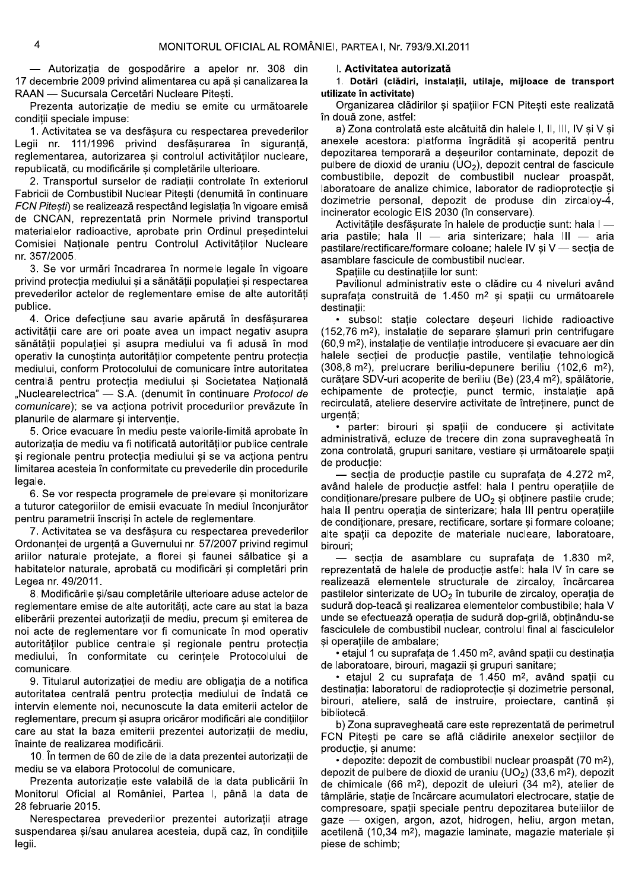- Autorizatia de gospodărire a apelor nr. 308 din 17 decembrie 2009 privind alimentarea cu apă și canalizarea la RAAN - Sucursala Cercetări Nucleare Pitesti.

Prezenta autorizație de mediu se emite cu următoarele conditii speciale impuse:

1. Activitatea se va desfășura cu respectarea prevederilor Legii nr. 111/1996 privind desfășurarea în siguranță, reglementarea, autorizarea și controlul activităților nucleare, republicată, cu modificările si completările ulterioare.

2. Transportul surselor de radiatii controlate în exteriorul Fabricii de Combustibil Nuclear Pitesti (denumită în continuare FCN Pitești) se realizează respectând legislația în vigoare emisă de CNCAN, reprezentată prin Normele privind transportul materialelor radioactive, aprobate prin Ordinul presedintelui Comisiei Naționale pentru Controlul Activităților Nucleare nr. 357/2005.

3. Se vor urmări încadrarea în normele legale în vigoare privind protecția mediului și a sănătății populației și respectarea prevederilor actelor de reglementare emise de alte autorităti publice.

4. Orice defectiune sau avarie apărută în desfăsurarea activitătii care are ori poate avea un impact negativ asupra sănătătii populatiei și asupra mediului va fi adusă în mod operativ la cunostinta autoritătilor competente pentru protectia mediului, conform Protocolului de comunicare între autoritatea centrală pentru protecția mediului și Societatea Națională "Nuclearelectrica" — S.A. (denumit în continuare Protocol de comunicare); se va actiona potrivit procedurilor prevăzute în planurile de alarmare și intervenție.

5. Orice evacuare în mediu peste valorile-limită aprobate în autorizația de mediu va fi notificată autorităților publice centrale și regionale pentru protecția mediului și se va acționa pentru limitarea acesteia în conformitate cu prevederile din procedurile legale.

6. Se vor respecta programele de prelevare și monitorizare a tuturor categoriilor de emisii evacuate în mediul înconiurător pentru parametrii înscrisi în actele de reglementare.

7. Activitatea se va desfăsura cu respectarea prevederilor Ordonanței de urgență a Guvernului nr. 57/2007 privind regimul ariilor naturale protejate, a florei și faunei sălbatice și a habitatelor naturale, aprobată cu modificări și completări prin Legea nr. 49/2011.

8. Modificările și/sau completările ulterioare aduse actelor de reglementare emise de alte autorități, acte care au stat la baza eliberării prezentei autorizații de mediu, precum și emiterea de noi acte de reglementare vor fi comunicate în mod operativ autoritătilor publice centrale și regionale pentru protecția mediului, în conformitate cu cerințele Protocolului de comunicare.

9. Titularul autorizației de mediu are obligația de a notifica autoritatea centrală pentru protectia mediului de îndată ce intervin elemente noi, necunoscute la data emiterii actelor de reglementare, precum și asupra oricăror modificări ale condițiilor care au stat la baza emiterii prezentei autorizații de mediu, înainte de realizarea modificării.

10. În termen de 60 de zile de la data prezentei autorizatii de mediu se va elabora Protocolul de comunicare.

Prezenta autorizatie este valabilă de la data publicării în Monitorul Oficial al României, Partea I, până la data de 28 februarie 2015.

Nerespectarea prevederilor prezentei autorizatii atrage suspendarea și/sau anularea acesteia, după caz, în condițiile legii.

#### I. Activitatea autorizată

1. Dotări (clădiri, instalații, utilaje, mijloace de transport utilizate în activitate)

Organizarea clădirilor și spațiilor FCN Pitești este realizată în două zone, astfel:

a) Zona controlată este alcătuită din halele I, II, III, IV și V și anexele acestora: platforma îngrădită și acoperită pentru depozitarea temporară a deșeurilor contaminate, depozit de pulbere de dioxid de uraniu  $(UO<sub>2</sub>)$ , depozit central de fascicule combustibile, depozit de combustibil nuclear proaspăt, laboratoare de analize chimice, laborator de radioprotecție și dozimetrie personal, depozit de produse din zircaloy-4, incinerator ecologic EIS 2030 (în conservare).

Activitățile desfășurate în halele de producție sunt: hala I aria pastile; hala II - aria sinterizare; hala III - aria pastilare/rectificare/formare coloane; halele IV și V — secția de asamblare fascicule de combustibil nuclear.

Spatille cu destinatiile lor sunt:

Pavilionul administrativ este o clădire cu 4 niveluri având suprafața construită de 1.450 m<sup>2</sup> si spații cu următoarele destinatii:

· subsol: statie colectare deseuri lichide radioactive (152,76 m<sup>2</sup>), instalatie de separare slamuri prin centrifugare (60,9 m<sup>2</sup>), instalatie de ventilatie introducere si evacuare aer din halele sectiei de productie pastile, ventilatie tehnologică (308,8 m<sup>2</sup>), prelucrare beriliu-depunere beriliu (102,6 m<sup>2</sup>), curătare SDV-uri acoperite de beriliu (Be) (23,4 m<sup>2</sup>), spălătorie, echipamente de protectie, punct termic, instalatie apă recirculată, ateliere deservire activitate de întretinere, punct de urgentă:

· parter: birouri si spatii de conducere si activitate administrativă, ecluze de trecere din zona supravegheată în zona controlată, grupuri sanitare, vestiare și următoarele spații de productie:

- sectia de productie pastile cu suprafata de 4.272 m<sup>2</sup>. având halele de productie astfel: hala I pentru operatiile de conditionare/presare pulbere de  $UO<sub>2</sub>$  si obtinere pastile crude: hala II pentru operatia de sinterizare; hala III pentru operatiile de conditionare, presare, rectificare, sortare si formare coloane; alte spații ca depozite de materiale nucleare, laboratoare, birouri:

— sectia de asamblare cu suprafata de 1.830 m<sup>2</sup>, reprezentată de halele de productie astfel: hala IV în care se realizează elementele structurale de zircaloy, încărcarea pastilelor sinterizate de UO<sub>2</sub> în tuburile de zircaloy, operația de sudură dop-teacă și realizarea elementelor combustibile; hala V unde se efectuează operația de sudură dop-grilă, obținându-se fasciculele de combustibil nuclear, controlul final al fasciculelor si operatiile de ambalare;

· etajul 1 cu suprafața de 1.450 m<sup>2</sup>, având spații cu destinația de laboratoare, birouri, magazii si grupuri sanitare;

· etajul 2 cu suprafata de 1.450 m<sup>2</sup>, având spatii cu destinatia: laboratorul de radioprotectie si dozimetrie personal, birouri, ateliere, sală de instruire, proiectare, cantină si bibliotecă.

b) Zona supravegheată care este reprezentată de perimetrul FCN Pitesti pe care se află clădirile anexelor sectiilor de productie, si anume:

· depozite: depozit de combustibil nuclear proaspăt (70 m<sup>2</sup>). depozit de pulbere de dioxid de uraniu  $(UD<sub>2</sub>)$  (33,6 m<sup>2</sup>), depozit de chimicale (66 m<sup>2</sup>), depozit de uleiuri (34 m<sup>2</sup>), atelier de tâmplărie, stație de încărcare acumulatori electrocare, stație de compresoare, spații speciale pentru depozitarea buteliilor de gaze — oxigen, argon, azot, hidrogen, heliu, argon metan, acetilenă (10,34 m<sup>2</sup>), magazie laminate, magazie materiale și piese de schimb;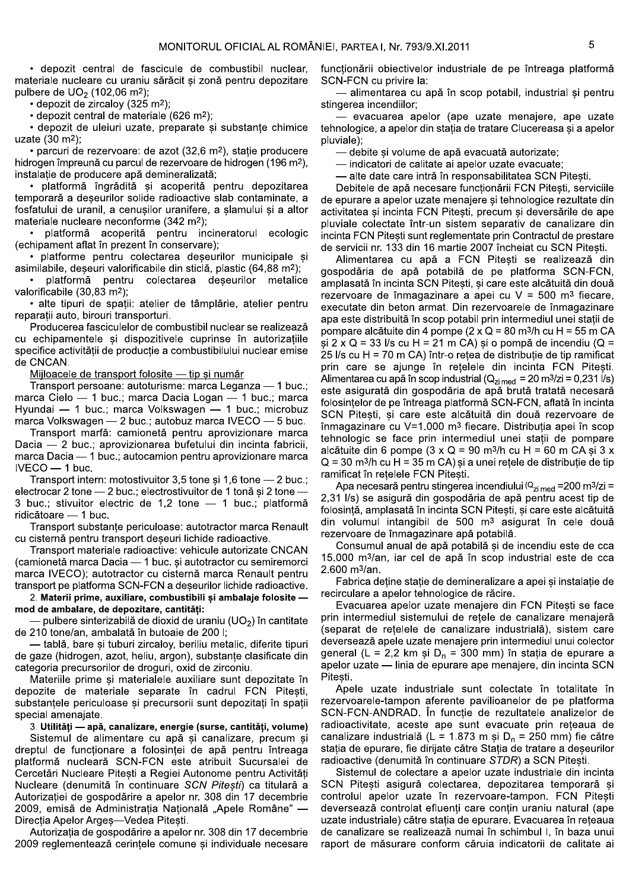· depozit central de fascicule de combustibil nuclear. materiale nucleare cu uraniu sărăcit și zonă pentru depozitare pulbere de  $UO<sub>2</sub>$  (102,06 m<sup>2</sup>);

• depozit de zircalov (325 m<sup>2</sup>):

• depozit central de materiale (626 m<sup>2</sup>):

· depozit de uleiuri uzate, preparate și substanțe chimice uzate  $(30 \text{ m}^2)$ ;

· parcuri de rezervoare: de azot (32,6 m<sup>2</sup>), stație producere hidrogen împreună cu parcul de rezervoare de hidrogen (196 m<sup>2</sup>), instalație de producere apă demineralizată;

· platformă îngrădită și acoperită pentru depozitarea temporară a deseurilor solide radioactive slab contaminate, a fosfatului de uranil, a cenușilor uranifere, a șlamului și a altor materiale nucleare neconforme (342 m<sup>2</sup>);

· platformă acoperită pentru incineratorul ecologic (echipament aflat în prezent în conservare);

· platforme pentru colectarea deseurilor municipale si asimilabile, deșeuri valorificabile din sticlă, plastic (64,88 m<sup>2</sup>);

platformă pentru colectarea deșeurilor metalice valorificabile (30,83 m<sup>2</sup>);

· alte tipuri de spații: atelier de tâmplărie, atelier pentru reparatii auto, birouri transporturi.

Producerea fasciculelor de combustibil nuclear se realizează cu echipamentele și dispozitivele cuprinse în autorizațiile specifice activității de producție a combustibilului nuclear emise de CNCAN.

Mijloacele de transport folosite - tip și număr

Transport persoane: autoturisme: marca Leganza - 1 buc.: marca Cielo - 1 buc.; marca Dacia Logan - 1 buc.; marca Hyundai - 1 buc.; marca Volkswagen - 1 buc.; microbuz marca Volkswagen - 2 buc.; autobuz marca IVECO - 5 buc.

Transport marfă: camionetă pentru aprovizionare marca Dacia - 2 buc.; aprovizionarea bufetului din incinta fabricii, marca Dacia - 1 buc.; autocamion pentru aprovizionare marca  $IVECO - 1$  buc.

Transport intern: motostivuitor 3,5 tone și 1,6 tone - 2 buc.; electrocar 2 tone - 2 buc.; electrostivuitor de 1 tonă și 2 tone -3 buc.; stivuitor electric de 1,2 tone - 1 buc.; platformă ridicătoare - 1 buc.

Transport substante periculoase: autotractor marca Renault cu cisternă pentru transport deseuri lichide radioactive.

Transport materiale radioactive: vehicule autorizate CNCAN (camionetă marca Dacia - 1 buc. și autotractor cu semiremorci marca IVECO); autotractor cu cisternă marca Renault pentru transport pe platforma SCN-FCN a deseurilor lichide radioactive.

2. Materii prime, auxiliare, combustibili și ambalaje folosite mod de ambalare, de depozitare, cantităti:

- pulbere sinterizabilă de dioxid de uraniu (UO<sub>2</sub>) în cantitate de 210 tone/an, ambalată în butoaie de 200 l:

- tablă, bare și tuburi zircalov, beriliu metalic, diferite tipuri de gaze (hidrogen, azot, heliu, argon), substante clasificate din categoria precursorilor de droguri, oxid de zirconiu.

Materiile prime si materialele auxiliare sunt depozitate în depozite de materiale separate în cadrul FCN Pitesti. substantele periculoase si precursorii sunt depozitati în spatii special amenaiate.

3. Utilități - apă, canalizare, energie (surse, cantități, volume)

Sistemul de alimentare cu apă și canalizare, precum și dreptul de functionare a folosintei de apă pentru întreaga platformă nucleară SCN-FCN este atribuit Sucursalei de Cercetări Nucleare Pitești a Regiei Autonome pentru Activități Nucleare (denumită în continuare SCN Pitești) ca titulară a Autorizatiei de gospodărire a apelor nr. 308 din 17 decembrie 2009, emisă de Administratia Natională "Apele Române" -Direcția Apelor Argeș-Vedea Pitesti.

Autorizația de gospodărire a apelor nr. 308 din 17 decembrie 2009 reglementează cerințele comune și individuale necesare functionării obiectivelor industriale de pe întreaga platformă SCN-FCN cu privire la:

- alimentarea cu apă în scop potabil, industrial si pentru stingerea incendiilor;

- evacuarea apelor (ape uzate menajere, ape uzate tehnologice, a apelor din stația de tratare Clucereasa și a apelor pluviale):

- debite și volume de apă evacuată autorizate;

- indicatori de calitate ai apelor uzate evacuate;

- alte date care intră în responsabilitatea SCN Pitești.

Debitele de apă necesare funcționării FCN Pitești, serviciile de epurare a apelor uzate menajere și tehnologice rezultate din activitatea și incinta FCN Pitești, precum și deversările de ape pluviale colectate într-un sistem separativ de canalizare din incinta FCN Pitești sunt reglementate prin Contractul de prestare de servicii nr. 133 din 16 martie 2007 încheiat cu SCN Pitești.

Alimentarea cu apă a FCN Pitești se realizează din gospodăria de apă potabilă de pe platforma SCN-FCN, amplasată în incinta SCN Pitești, și care este alcătuită din două rezervoare de înmagazinare a apei cu  $V = 500$  m<sup>3</sup> fiecare, executate din beton armat. Din rezervoarele de înmagazinare apa este distribuită în scop potabil prin intermediul unei statii de pompare alcătuite din 4 pompe (2 x Q = 80 m<sup>3</sup>/h cu H = 55 m CA si  $2 \times Q = 33$  l/s cu H = 21 m CA) și o pompă de incendiu (Q = 25 l/s cu H = 70 m CA) într-o rețea de distribuție de tip ramificat prin care se ajunge în rețelele din incinta FCN Pitești. Alimentarea cu apă în scop industrial (Q<sub>zi med</sub> = 20 m<sup>3</sup>/zi = 0,231 l/s) este asigurată din gospodăria de apă brută tratată necesară folosințelor de pe întreaga platformă SCN-FCN, aflată în incinta SCN Pitești, și care este alcătuită din două rezervoare de înmagazinare cu V=1.000 m<sup>3</sup> fiecare. Distribuția apei în scop tehnologic se face prin intermediul unei statii de pompare alcătuite din 6 pompe ( $3 \times Q = 90$  m $\frac{3}{h}$  cu H = 60 m CA și  $3 \times$  $Q = 30$  m<sup>3</sup>/h cu H = 35 m CA) si a unei retele de distributie de tip ramificat în retelele FCN Pitesti.

Apa necesară pentru stingerea incendiului ( $Q_{\text{zi med}}$  = 200 m<sup>3</sup>/zi = 2,31 l/s) se asigură din gospodăria de apă pentru acest tip de folosință, amplasată în incinta SCN Pitești, și care este alcătuită din volumul intangibil de 500 m<sup>3</sup> asigurat în cele două rezervoare de înmagazinare apă potabilă.

Consumul anual de apă potabilă și de incendiu este de cca 15.000 m<sup>3</sup>/an, iar cel de apă în scop industrial este de cca 2.600 m<sup>3</sup>/an.

Fabrica detine statie de demineralizare a apei si instalatie de recirculare a apelor tehnologice de răcire.

Evacuarea apelor uzate menajere din FCN Pitesti se face prin intermediul sistemului de rețele de canalizare menajeră (separat de retelele de canalizare industrială), sistem care deversează apele uzate menajere prin intermediul unui colector general (L = 2,2 km și D<sub>n</sub> = 300 mm) în stația de epurare a apelor uzate - linia de epurare ape menajere, din incinta SCN Pitesti.

Apele uzate industriale sunt colectate în totalitate în rezervoarele-tampon aferente pavilioanelor de pe platforma SCN-FCN-ANDRAD. În funcție de rezultatele analizelor de radioactivitate, aceste ape sunt evacuate prin rețeaua de canalizare industrială (L = 1.873 m și D<sub>n</sub> = 250 mm) fie către statia de epurare, fie dirijate către Statia de tratare a deseurilor radioactive (denumită în continuare STDR) a SCN Pitesti.

Sistemul de colectare a apelor uzate industriale din incinta SCN Pitești asigură colectarea, depozitarea temporară și controlul apelor uzate în rezervoare-tampon. FCN Pitești deversează controlat efluenți care conțin uraniu natural (ape uzate industriale) către stația de epurare. Evacuarea în rețeaua de canalizare se realizează numai în schimbul I, în baza unui raport de măsurare conform căruia indicatorii de calitate ai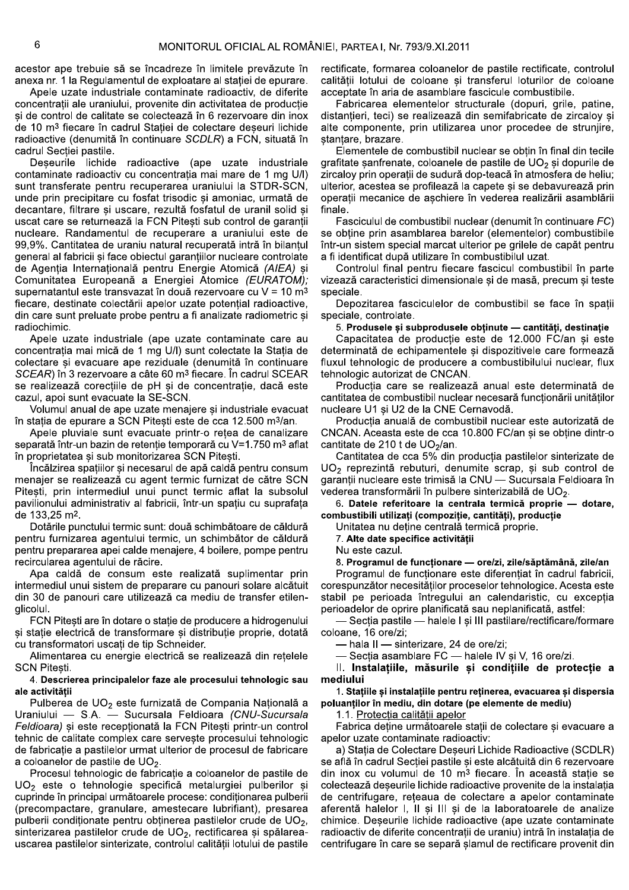acestor ape trebuie să se încadreze în limitele prevăzute în anexa nr. 1 la Regulamentul de exploatare al statiei de epurare.

Apele uzate industriale contaminate radioactiv, de diferite concentratii ale uraniului, provenite din activitatea de productie și de control de calitate se colectează în 6 rezervoare din inox de 10 m<sup>3</sup> fiecare în cadrul Statiei de colectare deseuri lichide radioactive (denumită în continuare SCDLR) a FCN, situată în cadrul Secției pastile.

Deseurile lichide radioactive (ape uzate industriale contaminate radioactiv cu concentrația mai mare de 1 mg U/I) sunt transferate pentru recuperarea uraniului la STDR-SCN, unde prin precipitare cu fosfat trisodic și amoniac, urmată de decantare, filtrare și uscare, rezultă fosfatul de uranil solid și uscat care se returnează la FCN Pitești sub control de garanții nucleare. Randamentul de recuperare a uraniului este de 99,9%. Cantitatea de uraniu natural recuperată intră în bilanțul general al fabricii și face obiectul garanțiilor nucleare controlate de Agenția Internațională pentru Energie Atomică (AIEA) și Comunitatea Europeană a Energiei Atomice (EURATOM); supernatantul este transvazat în două rezervoare cu V = 10 m<sup>3</sup> fiecare, destinate colectării apelor uzate potențial radioactive, din care sunt preluate probe pentru a fi analizate radiometric și radiochimic.

Apele uzate industriale (ape uzate contaminate care au concentrația mai mică de 1 mg U/I) sunt colectate la Stația de colectare și evacuare ape reziduale (denumită în continuare SCEAR) în 3 rezervoare a câte 60 m<sup>3</sup> fiecare. În cadrul SCEAR se realizează corecțiile de pH și de concentrație, dacă este cazul, apoi sunt evacuate la SE-SCN.

Volumul anual de ape uzate menajere și industriale evacuat în statia de epurare a SCN Pitesti este de cca 12.500 m<sup>3</sup>/an.

Apele pluviale sunt evacuate printr-o retea de canalizare separată într-un bazin de retenție temporară cu V=1.750 m<sup>3</sup> aflat în proprietatea și sub monitorizarea SCN Pitești.

Încălzirea spațiilor și necesarul de apă caldă pentru consum menajer se realizează cu agent termic furnizat de către SCN Pitești, prin intermediul unui punct termic aflat la subsolul pavilionului administrativ al fabricii, într-un spațiu cu suprafața de 133,25 m<sup>2</sup>.

Dotările punctului termic sunt: două schimbătoare de căldură pentru furnizarea agentului termic, un schimbător de căldură pentru prepararea apei calde menajere, 4 boilere, pompe pentru recircularea agentului de răcire.

Apa caldă de consum este realizată suplimentar prin intermediul unui sistem de preparare cu panouri solare alcătuit din 30 de panouri care utilizează ca mediu de transfer etilenalicolul.

FCN Pitesti are în dotare o statie de producere a hidrogenului și stație electrică de transformare și distribuție proprie, dotată cu transformatori uscati de tip Schneider.

Alimentarea cu energie electrică se realizează din retelele **SCN Pitesti.** 

# 4. Descrierea principalelor faze ale procesului tehnologic sau ale activitătii

Pulberea de UO<sub>2</sub> este furnizată de Compania Națională a Uraniului - S.A. - Sucursala Feldioara (CNU-Sucursala Feldioara) și este recepționată la FCN Pitești printr-un control tehnic de calitate complex care serveste procesului tehnologic de fabricatie a pastilelor urmat ulterior de procesul de fabricare a coloanelor de pastile de UO<sub>2</sub>.

Procesul tehnologic de fabricatie a coloanelor de pastile de UO<sub>2</sub> este o tehnologie specifică metalurgiei pulberilor și cuprinde în principal următoarele procese: condiționarea pulberii (precompactare, granulare, amestecare lubrifiant), presarea pulberii condiționate pentru obținerea pastilelor crude de UO<sub>2</sub>, sinterizarea pastilelor crude de UO<sub>2</sub>, rectificarea și spălareauscarea pastilelor sinterizate, controlul calității lotului de pastile

rectificate, formarea coloanelor de pastile rectificate, controlul calitătii lotului de coloane și transferul loturilor de coloane acceptate în aria de asamblare fascicule combustibile.

Fabricarea elementelor structurale (dopuri, grile, patine, distantieri, teci) se realizează din semifabricate de zircalov si alte componente, prin utilizarea unor procedee de struniire. stantare, brazare.

Elementele de combustibil nuclear se obțin în final din tecile grafitate sanfrenate, coloanele de pastile de UO<sub>2</sub> si dopurile de zircaloy prin operații de sudură dop-teacă în atmosfera de heliu; ulterior, acestea se profilează la capete și se debavurează prin operații mecanice de așchiere în vederea realizării asamblării finale

Fasciculul de combustibil nuclear (denumit în continuare FC) se obtine prin asamblarea barelor (elementelor) combustibile într-un sistem special marcat ulterior pe grilele de capăt pentru a fi identificat după utilizare în combustibilul uzat.

Controlul final pentru fiecare fascicul combustibil în parte vizează caracteristici dimensionale și de masă, precum și teste speciale.

Depozitarea fasciculelor de combustibil se face în spații speciale, controlate.

5. Produsele și subprodusele obținute - cantități, destinație

Capacitatea de productie este de 12.000 FC/an si este determinată de echipamentele și dispozitivele care formează fluxul tehnologic de producere a combustibilului nuclear, flux tehnologic autorizat de CNCAN.

Productia care se realizează anual este determinată de cantitatea de combustibil nuclear necesară functionării unitătilor nucleare U1 și U2 de la CNE Cernavodă.

Productia anuală de combustibil nuclear este autorizată de CNCAN. Aceasta este de cca 10.800 FC/an și se obține dintr-o cantitate de 210 t de UO<sub>2</sub>/an.

Cantitatea de cca 5% din producția pastilelor sinterizate de UO<sub>2</sub> reprezintă rebuturi, denumite scrap, și sub control de garanții nucleare este trimisă la CNU - Sucursala Feldioara în vederea transformării în pulbere sinterizabilă de UO<sub>2</sub>.

6. Datele referitoare la centrala termică proprie - dotare, combustibili utilizați (compoziție, cantități), producție

Unitatea nu deține centrală termică proprie.

7. Alte date specifice activitătii

Nu este cazul.

8. Programul de funcționare — ore/zi, zile/săptămână, zile/an

Programul de functionare este diferentiat în cadrul fabricii. corespunzător necesitătilor proceselor tehnologice. Acesta este stabil pe perioada întregului an calendaristic, cu excepția perioadelor de oprire planificată sau neplanificată, astfel:

- Sectia pastile - halele I si III pastilare/rectificare/formare coloane, 16 ore/zi:

- hala II - sinterizare, 24 de ore/zi:

- Sectia asamblare FC - halele IV si V. 16 ore/zi.

Il. Instalatiile, măsurile si conditiile de protectie a mediului

1. Statiile și instalatiile pentru retinerea, evacuarea și dispersia poluantilor în mediu, din dotare (pe elemente de mediu)

1.1. Protectia calitătii apelor

Fabrica deține următoarele stații de colectare și evacuare a apelor uzate contaminate radioactiv:

a) Statia de Colectare Deseuri Lichide Radioactive (SCDLR) se află în cadrul Secției pastile și este alcătuită din 6 rezervoare din inox cu volumul de 10 m<sup>3</sup> fiecare. În această stație se colectează deseurile lichide radioactive provenite de la instalatia de centrifugare, reteaua de colectare a apelor contaminate aferentă halelor I, II și III și de la laboratoarele de analize chimice. Deseurile lichide radioactive (ape uzate contaminate radioactiv de diferite concentrații de uraniu) intră în instalația de centrifugare în care se separă șlamul de rectificare provenit din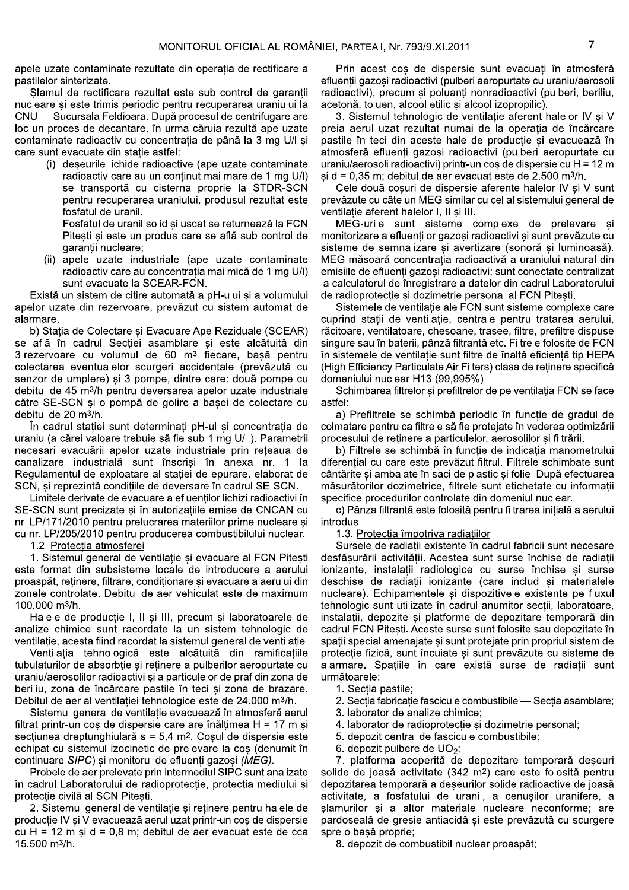apele uzate contaminate rezultate din operatia de rectificare a pastilelor sinterizate.

Slamul de rectificare rezultat este sub control de garantii nucleare si este trimis periodic pentru recuperarea uraniului la CNU — Sucursala Feldioara. După procesul de centrifugare are loc un proces de decantare, în urma căruia rezultă ape uzate contaminate radioactiv cu concentrația de până la 3 mg U/l și care sunt evacuate din statie astfel:

> (i) deseurile lichide radioactive (ape uzate contaminate radioactiv care au un conținut mai mare de 1 mg U/I) se transportă cu cisterna proprie la STDR-SCN pentru recuperarea uraniului, produsul rezultat este fosfatul de uranil.

Fosfatul de uranil solid și uscat se returnează la FCN Pitești și este un produs care se află sub control de garantii nucleare;

(ii) apele uzate industriale (ape uzate contaminate radioactiv care au concentrația mai mică de 1 mg U/I) sunt evacuate la SCEAR-FCN.

Există un sistem de citire automată a pH-ului și a volumului apelor uzate din rezervoare, prevăzut cu sistem automat de alarmare.

b) Statia de Colectare si Evacuare Ape Reziduale (SCEAR) se află în cadrul Secției asamblare și este alcătuită din 3 rezervoare cu volumul de 60 m<sup>3</sup> fiecare, basă pentru colectarea eventualelor scurgeri accidentale (prevăzută cu senzor de umplere) și 3 pompe, dintre care: două pompe cu debitul de 45 m<sup>3</sup>/h pentru deversarea apelor uzate industriale către SE-SCN și o pompă de golire a bașei de colectare cu debitul de 20 m<sup>3</sup>/h.

În cadrul stației sunt determinați pH-ul și concentrația de uraniu (a cărei valoare trebuie să fie sub 1 mg U/I). Parametrii necesari evacuării apelor uzate industriale prin rețeaua de canalizare industrială sunt înscrisi în anexa nr. 1 la Regulamentul de exploatare al statiei de epurare, elaborat de SCN, si reprezintă conditiile de deversare în cadrul SE-SCN.

Limitele derivate de evacuare a efluentilor lichizi radioactivi în SE-SCN sunt precizate și în autorizațiile emise de CNCAN cu nr. LP/171/2010 pentru prelucrarea materiilor prime nucleare si cu nr. LP/205/2010 pentru producerea combustibilului nuclear.

1.2. Protectia atmosferei

1. Sistemul general de ventilatie si evacuare al FCN Pitesti este format din subsisteme locale de introducere a aerului proaspăt, retinere, filtrare, conditionare și evacuare a aerului din zonele controlate. Debitul de aer vehiculat este de maximum 100.000 m<sup>3</sup>/h.

Halele de producție I, II și III, precum și laboratoarele de analize chimice sunt racordate la un sistem tehnologic de ventilație, acesta fiind racordat la sistemul general de ventilație.

Ventilația tehnologică este alcătuită din ramificațiile tubulaturilor de absorbție și reținere a pulberilor aeropurtate cu uraniu/aerosolilor radioactivi și a particulelor de praf din zona de beriliu, zona de încărcare pastile în teci si zona de brazare. Debitul de aer al ventilatiei tehnologice este de 24.000 m<sup>3</sup>/h.

Sistemul general de ventilație evacuează în atmosferă aerul filtrat printr-un cos de dispersie care are înăltimea H = 17 m si sectiunea dreptunghiulară s = 5,4 m<sup>2</sup>. Coșul de dispersie este echipat cu sistemul izocinetic de prelevare la cos (denumit în continuare SIPC) și monitorul de efluenți gazoși (MEG).

Probele de aer prelevate prin intermediul SIPC sunt analizate în cadrul Laboratorului de radioprotecție, protecția mediului și protecție civilă al SCN Pitești.

2. Sistemul general de ventilație și reținere pentru halele de producție IV și V evacuează aerul uzat printr-un coș de dispersie cu H = 12 m și d = 0,8 m; debitul de aer evacuat este de cca 15.500 m<sup>3</sup>/h.

Prin acest cos de dispersie sunt evacuati în atmosferă efluenții gazoși radioactivi (pulberi aeropurtate cu uraniu/aerosoli radioactivi), precum și poluanți nonradioactivi (pulberi, beriliu, acetonă, toluen, alcool etilic și alcool izopropilic).

3. Sistemul tehnologic de ventilatie aferent halelor IV si V preia aerul uzat rezultat numai de la operația de încărcare pastile în teci din aceste hale de producție și evacuează în atmosferă efluenți gazoși radioactivi (pulberi aeropurtate cu uraniu/aerosoli radioactivi) printr-un cos de dispersie cu H = 12 m  $\sin d = 0.35$  m; debitul de aer evacuat este de 2.500 m<sup>3</sup>/h.

Cele două coșuri de dispersie aferente halelor IV și V sunt prevăzute cu câte un MEG similar cu cel al sistemului general de ventilatie aferent halelor I, II si III.

MEG-urile sunt sisteme complexe de prelevare și monitorizare a efluenților gazoși radioactivi și sunt prevăzute cu sisteme de semnalizare și avertizare (sonoră și luminoasă). MEG măsoară concentrația radioactivă a uraniului natural din emisiile de efluenți gazoși radioactivi; sunt conectate centralizat la calculatorul de înregistrare a datelor din cadrul Laboratorului de radioprotecție și dozimetrie personal al FCN Pitești.

Sistemele de ventilatie ale FCN sunt sisteme complexe care cuprind statii de ventilatie, centrale pentru tratarea aerului, răcitoare, ventilatoare, chesoane, trasee, filtre, prefiltre dispuse singure sau în baterii, pânză filtrantă etc. Filtrele folosite de FCN în sistemele de ventilatie sunt filtre de înaltă eficientă tip HEPA (High Efficiency Particulate Air Filters) clasa de retinere specifică domeniului nuclear H13 (99.995%).

Schimbarea filtrelor și prefiltrelor de pe ventilația FCN se face astfel:

a) Prefiltrele se schimbă periodic în funcție de gradul de colmatare pentru ca filtrele să fie protejate în vederea optimizării procesului de retinere a particulelor, aerosolilor si filtrării.

b) Filtrele se schimbă în funcție de indicația manometrului diferential cu care este prevăzut filtrul. Filtrele schimbate sunt cântărite si ambalate în saci de plastic si folie. După efectuarea măsurătorilor dozimetrice, filtrele sunt etichetate cu informatii specifice procedurilor controlate din domeniul nuclear.

c) Pânza filtrantă este folosită pentru filtrarea inițială a aerului introdus.

1.3. Protectia împotriva radiatiilor

Sursele de radiatii existente în cadrul fabricii sunt necesare desfăsurării activității. Acestea sunt surse închise de radiații ionizante, instalații radiologice cu surse închise și surse deschise de radiații ionizante (care includ și materialele nucleare). Echipamentele și dispozitivele existente pe fluxul tehnologic sunt utilizate în cadrul anumitor sectii, laboratoare, instalatii, depozite si platforme de depozitare temporară din cadrul FCN Pitesti. Aceste surse sunt folosite sau depozitate în spații special amenajate și sunt protejate prin propriul sistem de protecție fizică, sunt încuiate și sunt prevăzute cu sisteme de alarmare. Spațiile în care există surse de radiații sunt următoarele:

- 1. Sectia pastile;
- 2. Sectia fabricatie fascicule combustibile Sectia asamblare:
- 3. laborator de analize chimice:
- 4. laborator de radioprotectie si dozimetrie personal;
- 5. depozit central de fascicule combustibile;
- 6. depozit pulbere de  $UO_2$ ;

7. platforma acoperită de depozitare temporară deșeuri solide de joasă activitate (342 m<sup>2</sup>) care este folosită pentru depozitarea temporară a deșeurilor solide radioactive de joasă activitate, a fosfatului de uranil, a cenusilor uranifere, a slamurilor și a altor materiale nucleare neconforme; are pardoseală de gresie antiacidă și este prevăzută cu scurgere spre o bașă proprie;

8. depozit de combustibil nuclear proaspăt;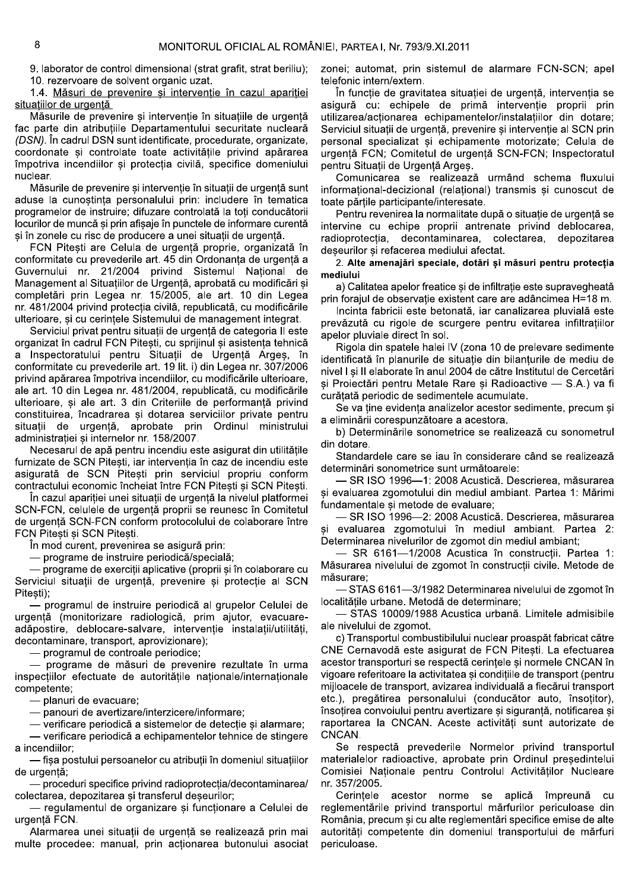9. laborator de control dimensional (strat grafit, strat beriliu); 10. rezervoare de solvent organic uzat.

1.4. Măsuri de prevenire si interventie în cazul aparitiei situatiilor de urgentă

Măsurile de prevenire și intervenție în situațiile de urgentă fac parte din atributiile Departamentului securitate nucleară (DSN). În cadrul DSN sunt identificate, procedurate, organizate, coordonate și controlate toate activitățile privind apărarea împotriva incendiilor și protecția civilă, specifice domeniului nuclear.

Măsurile de prevenire și intervenție în situații de urgență sunt aduse la cunostinta personalului prin: includere în tematica programelor de instruire; difuzare controlată la toți conducătorii locurilor de muncă și prin afișaje în punctele de informare curentă și în zonele cu risc de producere a unei situații de urgență.

FCN Pitești are Celula de urgență proprie, organizată în conformitate cu prevederile art. 45 din Ordonanța de urgență a Guvernului nr. 21/2004 privind Sistemul National de Management al Situațiilor de Urgență, aprobată cu modificări și completări prin Legea nr. 15/2005, ale art. 10 din Legea nr. 481/2004 privind protectia civilă, republicată, cu modificările ulterioare, si cu cerintele Sistemului de management integrat.

Serviciul privat pentru situatii de urgentă de categoria II este organizat în cadrul FCN Pitesti, cu sprijinul și asistența tehnică Inspectoratului pentru Situații de Urgență Arges, în a conformitate cu prevederile art. 19 lit. i) din Legea nr. 307/2006 privind apărarea împotriva incendiilor, cu modificările ulterioare, ale art. 10 din Legea nr. 481/2004, republicată, cu modificările ulterioare, si ale art. 3 din Criteriile de performantă privind constituirea, încadrarea și dotarea serviciilor private pentru situații de urgență, aprobate prin Ordinul ministrului administrației și internelor nr. 158/2007.

Necesarul de apă pentru incendiu este asigurat din utilitățile furnizate de SCN Pitești, iar intervenția în caz de incendiu este asigurată de SCN Pitești prin serviciul propriu conform contractului economic încheiat între FCN Pitești și SCN Pitești.

În cazul apariției unei situații de urgență la nivelul platformei SCN-FCN, celulele de urgență proprii se reunesc în Comitetul de urgență SCN-FCN conform protocolului de colaborare între FCN Pitesti și SCN Pitești.

În mod curent, prevenirea se asigură prin:

— programe de instruire periodică/specială;

— programe de exercitii aplicative (proprii si în colaborare cu Serviciul situatii de urgentă, prevenire si protectie al SCN Pitesti);

- programul de instruire periodică al grupelor Celulei de urgență (monitorizare radiologică, prim ajutor, evacuareadăpostire, deblocare-salvare, intervenție instalații/utilități, decontaminare, transport, aprovizionare);

- programul de controale periodice;

- programe de măsuri de prevenire rezultate în urma inspecțiilor efectuate de autoritățile naționale/internaționale competente:

- planuri de evacuare;

- panouri de avertizare/interzicere/informare;

— verificare periodică a sistemelor de detectie si alarmare: - verificare periodică a echipamentelor tehnice de stingere a incendiilor:

- fisa postului persoanelor cu atributii în domeniul situatiilor de urgentă:

 $-$  proceduri specifice privind radioprotectia/decontaminarea/ colectarea, depozitarea și transferul deșeurilor;

- regulamentul de organizare și funcționare a Celulei de urgentă FCN.

Alarmarea unei situatii de urgentă se realizează prin mai multe procedee: manual, prin actionarea butonului asociat zonei; automat, prin sistemul de alarmare FCN-SCN; apel telefonic intern/extern.

În functie de gravitatea situatiei de urgentă, interventia se asigură cu: echipele de primă intervenție proprii prin utilizarea/actionarea echipamentelor/instalatiilor din dotare; Serviciul situații de urgență, prevenire și intervenție al SCN prin personal specializat și echipamente motorizate; Celula de urgență FCN; Comitetul de urgență SCN-FCN; Inspectoratul pentru Situații de Urgență Argeș.

Comunicarea se realizează urmând schema fluxului informational-decizional (relational) transmis si cunoscut de toate părtile participante/interesate.

Pentru revenirea la normalitate după o situație de urgență se intervine cu echipe proprii antrenate privind deblocarea, radioprotectia, decontaminarea, colectarea, depozitarea deseurilor și refacerea mediului afectat.

2. Alte amenajări speciale, dotări și măsuri pentru protecția mediului

a) Calitatea apelor freatice si de infiltratie este supravegheată prin forajul de observație existent care are adâncimea H=18 m.

Incinta fabricii este betonată, iar canalizarea pluvială este prevăzută cu rigole de scurgere pentru evitarea infiltrațiilor apelor pluviale direct în sol.

Rigola din spatele halei IV (zona 10 de prelevare sedimente identificată în planurile de situatie din bilanturile de mediu de nivel I și II elaborate în anul 2004 de către Institutul de Cercetări și Proiectări pentru Metale Rare și Radioactive - S.A.) va fi curătată periodic de sedimentele acumulate.

Se va tine evidenta analizelor acestor sedimente, precum și a eliminării corespunzătoare a acestora.

b) Determinările sonometrice se realizează cu sonometrul din dotare.

Standardele care se iau în considerare când se realizează determinări sonometrice sunt următoarele:

- SR ISO 1996-1: 2008 Acustică. Descrierea, măsurarea si evaluarea zgomotului din mediul ambiant. Partea 1: Mărimi fundamentale si metode de evaluare:

- SR ISO 1996-2: 2008 Acustică. Descrierea, măsurarea si evaluarea zgomotului în mediul ambiant. Partea 2: Determinarea nivelurilor de zgomot din mediul ambiant;

- SR 6161-1/2008 Acustica în construcții. Partea 1: Măsurarea nivelului de zgomot în constructii civile. Metode de măsurare;

- STAS 6161-3/1982 Determinarea nivelului de zgomot în localitățile urbane. Metodă de determinare;

STAS 10009/1988 Acustica urbană. Limitele admisibile ale nivelului de zgomot.

c) Transportul combustibilului nuclear proaspăt fabricat către CNE Cernavodă este asigurat de FCN Pitesti. La efectuarea acestor transporturi se respectă cerintele si normele CNCAN în vigoare referitoare la activitatea și condițiile de transport (pentru mijloacele de transport, avizarea individuală a fiecărui transport etc.), pregătirea personalului (conducător auto, însoțitor), însoțirea convoiului pentru avertizare și siguranță, notificarea și raportarea la CNCAN. Aceste activități sunt autorizate de CNCAN.

Se respectă prevederile Normelor privind transportul materialelor radioactive, aprobate prin Ordinul presedintelui Comisiei Nationale pentru Controlul Activitătilor Nucleare nr. 357/2005.

Cerintele acestor norme se aplică împreună cu reglementările privind transportul mărfurilor periculoase din România, precum și cu alte reglementări specifice emise de alte autorităti competente din domeniul transportului de mărfuri periculoase.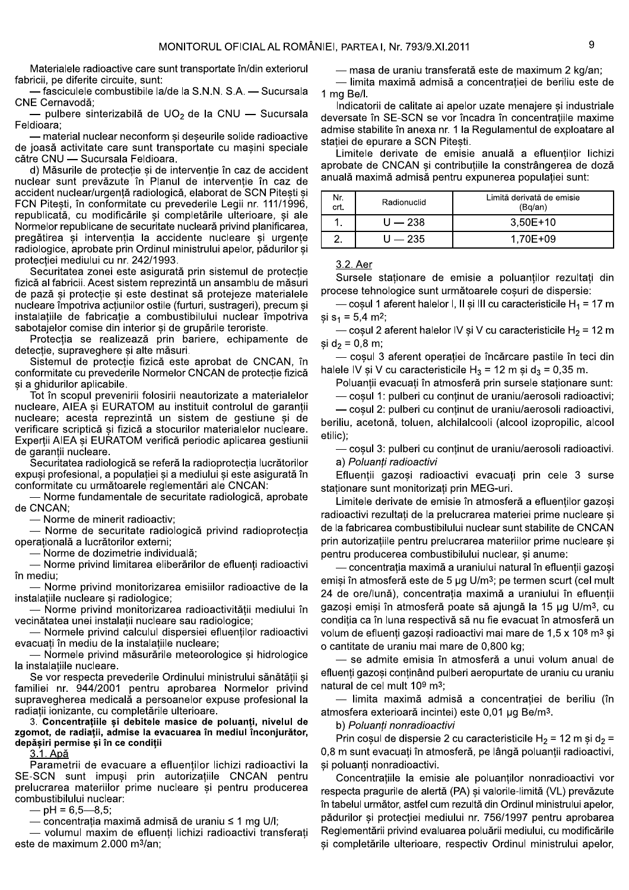Materialele radioactive care sunt transportate în/din exteriorul fabricii, pe diferite circuite, sunt:

- fasciculele combustibile la/de la S.N.N. S.A. — Sucursala CNE Cernavodă;

pulbere sinterizabilă de UO<sub>2</sub> de la CNU - Sucursala Feldioara:

- material nuclear neconform și deșeurile solide radioactive de joasă activitate care sunt transportate cu masini speciale către CNU - Sucursala Feldioara.

d) Măsurile de protecție si de intervenție în caz de accident nuclear sunt prevăzute în Planul de interventie în caz de accident nuclear/urgentă radiologică, elaborat de SCN Pitesti și FCN Pitești, în conformitate cu prevederile Legii nr. 111/1996, republicată, cu modificările și completările ulterioare, și ale Normelor republicane de securitate nucleară privind planificarea, pregătirea și intervenția la accidente nucleare și urgențe radiologice, aprobate prin Ordinul ministrului apelor, pădurilor și protecției mediului cu nr. 242/1993.

Securitatea zonei este asigurată prin sistemul de protecție fizică al fabricii. Acest sistem reprezintă un ansamblu de măsuri de pază și protecție și este destinat să protejeze materialele nucleare împotriva actiunilor ostile (furturi, sustrageri), precum si instalațiile de fabricație a combustibilului nuclear împotriva sabotajelor comise din interior și de grupările teroriste.

Protecția se realizează prin bariere, echipamente de detecție, supraveghere și alte măsuri.

Sistemul de protectie fizică este aprobat de CNCAN, în conformitate cu prevederile Normelor CNCAN de protecție fizică și a ghidurilor aplicabile.

Tot în scopul prevenirii folosirii neautorizate a materialelor nucleare, AIEA si EURATOM au instituit controlul de garantii nucleare; acesta reprezintă un sistem de gestiune si de verificare scriptică și fizică a stocurilor materialelor nucleare. Experții AIEA și EURATOM verifică periodic aplicarea gestiunii de garantii nucleare.

Securitatea radiologică se referă la radioprotecția lucrătorilor expusi profesional, a populatiei si a mediului si este asigurată în conformitate cu următoarele reglementări ale CNCAN:

- Norme fundamentale de securitate radiologică, aprobate de CNCAN:

- Norme de minerit radioactiv:

- Norme de securitate radiologică privind radioprotectia operatională a lucrătorilor externi;

– Norme de dozimetrie individuală:

- Norme privind limitarea eliberărilor de efluenți radioactivi în mediu:

- Norme privind monitorizarea emisiilor radioactive de la instalațiile nucleare și radiologice;

- Norme privind monitorizarea radioactivității mediului în vecinătatea unei instalatii nucleare sau radiologice;

- Normele privind calculul dispersiei efluentilor radioactivi evacuati în mediu de la instalatiile nucleare;

- Normele privind măsurările meteorologice și hidrologice la instalatiile nucleare.

Se vor respecta prevederile Ordinului ministrului sănătății și familiei nr. 944/2001 pentru aprobarea Normelor privind supravegherea medicală a persoanelor expuse profesional la radiații ionizante, cu completările ulterioare.

3. Concentratiile și debitele masice de poluanți, nivelul de zgomot, de radiații, admise la evacuarea în mediul înconjurător, depășiri permise și în ce condiții

3.1. Apă

Parametrii de evacuare a efluentilor lichizi radioactivi la SE-SCN sunt impuși prin autorizațiile CNCAN pentru prelucrarea materiilor prime nucleare și pentru producerea combustibilului nuclear:

 $-$  pH = 6.5–8.5;

— concentratia maximă admisă de uraniu ≤ 1 mg U/I;

- volumul maxim de efluenți lichizi radioactivi transferați este de maximum 2.000 m<sup>3</sup>/an;

— masa de uraniu transferată este de maximum 2 kg/an;

— limita maximă admisă a concentrației de beriliu este de 1 mg Be/l.

Indicatorii de calitate ai apelor uzate menajere și industriale deversate în SE-SCN se vor încadra în concentrațiile maxime admise stabilite în anexa nr. 1 la Regulamentul de exploatare al stației de epurare a SCN Pitești.

Limitele derivate de emisie anuală a efluenților lichizi aprobate de CNCAN și contribuțiile la constrângerea de doză anuală maximă admisă pentru expunerea populației sunt:

| Nr.<br>crt. | Radionuclid | Limită derivată de emisie<br>(Bq/an) |
|-------------|-------------|--------------------------------------|
|             | $U = 238$   | $3.50E+10$                           |
|             | U — 235     | 1.70E+09                             |

3.2. Aer

Sursele stationare de emisie a poluanților rezultați din procese tehnologice sunt următoarele cosuri de dispersie:

- coșul 1 aferent halelor I, II și III cu caracteristicile  $H_1 = 17$  m si  $s_1 = 5.4$  m<sup>2</sup>;

— coșul 2 aferent halelor IV și V cu caracteristicile H<sub>2</sub> = 12 m si  $d_2 = 0.8$  m;

- coșul 3 aferent operației de încărcare pastile în teci din halele IV și V cu caracteristicile H<sub>3</sub> = 12 m și d<sub>3</sub> = 0,35 m.

Poluanții evacuați în atmosferă prin sursele staționare sunt:

- coșul 1: pulberi cu conținut de uraniu/aerosoli radioactivi;

- coșul 2: pulberi cu conținut de uraniu/aerosoli radioactivi, beriliu, acetonă, toluen, alchilalcooli (alcool izopropilic, alcool etilic);

coșul 3: pulberi cu conținut de uraniu/aerosoli radioactivi. a) Poluanti radioactivi

Efluenții gazoși radioactivi evacuați prin cele 3 surse staționare sunt monitorizați prin MEG-uri.

Limitele derivate de emisie în atmosferă a efluentilor gazosi radioactivi rezultați de la prelucrarea materiei prime nucleare și de la fabricarea combustibilului nuclear sunt stabilite de CNCAN prin autorizațiile pentru prelucrarea materiilor prime nucleare și pentru producerea combustibilului nuclear, și anume:

concentratia maximă a uraniului natural în efluentii gazosi emiși în atmosferă este de 5 µg U/m<sup>3</sup>; pe termen scurt (cel mult 24 de ore/lună), concentrația maximă a uraniului în efluenții gazosi emisi în atmosferă poate să ajungă la 15 µg U/m<sup>3</sup>, cu conditia ca în luna respectivă să nu fie evacuat în atmosferă un volum de efluenti gazosi radioactivi mai mare de 1.5 x 10<sup>8</sup> m<sup>3</sup> si o cantitate de uraniu mai mare de 0,800 kg;

- se admite emisia în atmosferă a unui volum anual de efluenți gazoși conținând pulberi aeropurtate de uraniu cu uraniu natural de cel mult 109 m<sup>3</sup>:

- limita maximă admisă a concentrației de beriliu (în atmosfera exterioară incintei) este 0.01 µg Be/m<sup>3</sup>.

b) Poluanti nonradioactivi

Prin cosul de dispersie 2 cu caracteristicile H<sub>2</sub> = 12 m și d<sub>2</sub> = 0,8 m sunt evacuați în atmosferă, pe lângă poluanții radioactivi, și poluanți nonradioactivi.

Concentrațiile la emisie ale poluanților nonradioactivi vor respecta pragurile de alertă (PA) și valorile-limită (VL) prevăzute în tabelul următor, astfel cum rezultă din Ordinul ministrului apelor. pădurilor si protectiei mediului nr. 756/1997 pentru aprobarea Reglementării privind evaluarea poluării mediului, cu modificările și completările ulterioare, respectiv Ordinul ministrului apelor,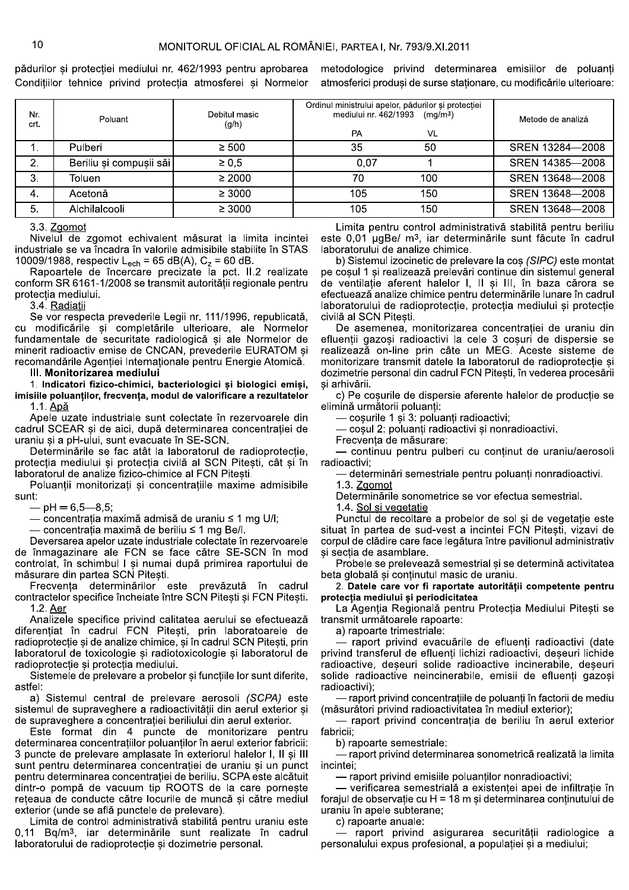pădurilor si protectiei mediului nr. 462/1993 pentru aprobarea metodologice privind determinarea emisiilor de poluanti Condițiilor tehnice privind protecția atmosferei și Normelor atmosferici produși de surse staționare, cu modificările ulterioare:

| Nr.<br>crt. | Poluant                 | Debitul masic<br>(g/h) | Ordinul ministrului apelor, pădurilor și protecției<br>mediului nr. 462/1993<br>(mg/m <sup>3</sup> )<br><b>PA</b><br>VL | Metode de analiză |
|-------------|-------------------------|------------------------|-------------------------------------------------------------------------------------------------------------------------|-------------------|
|             |                         |                        |                                                                                                                         |                   |
|             | Pulberi                 | $\geq 500$             | 35<br>50                                                                                                                | SREN 13284-2008   |
| 2.          | Beriliu și compușii săi | $\geq 0.5$             | 0.07                                                                                                                    | SREN 14385-2008   |
| З.          | Toluen                  | $\geq 2000$            | 70<br>100                                                                                                               | SREN 13648-2008   |
| -4.         | Acetonă                 | $\geq 3000$            | 105<br>150                                                                                                              | SREN 13648-2008   |
| 5.          | Alchilalcooli           | $\geq 3000$            | 105<br>150                                                                                                              | SREN 13648-2008   |

3.3. Zgomot

Nivelul de zgomot echivalent măsurat la limita incintei industriale se va încadra în valorile admisibile stabilite în STAS 10009/1988, respectiv L<sub>ech</sub> = 65 dB(A), C<sub>z</sub> = 60 dB.

Rapoartele de încercare precizate la pct. II.2 realizate conform SR 6161-1/2008 se transmit autorității regionale pentru protectia mediului.

3.4. Radiatii

Se vor respecta prevederile Legii nr. 111/1996, republicată, cu modificările și completările ulterioare, ale Normelor fundamentale de securitate radiologică și ale Normelor de minerit radioactiv emise de CNCAN, prevederile EURATOM și recomandările Agentiei Internationale pentru Energie Atomică.

## III. Monitorizarea mediului

1. Indicatori fizico-chimici, bacteriologici și biologici emiși, imisiile poluanților, frecvența, modul de valorificare a rezultatelor 1.1. Apă

Apele uzate industriale sunt colectate în rezervoarele din cadrul SCEAR și de aici, după determinarea concentrației de uraniu și a pH-ului, sunt evacuate în SE-SCN.

Determinările se fac atât la laboratorul de radioprotecție, protecția mediului și protecția civilă al SCN Pitești, cât și în laboratorul de analize fizico-chimice al FCN Pitești.

Poluanții monitorizați și concentrațiile maxime admisibile sunt:

 $-$  pH = 6.5–8.5;

— concentratia maximă admisă de uraniu ≤ 1 mg U/I;

— concentrația maximă de beriliu ≤ 1 mg Be/l.

Deversarea apelor uzate industriale colectate în rezervoarele de înmagazinare ale FCN se face către SE-SCN în mod controlat. în schimbul I si numai după primirea raportului de măsurare din partea SCN Pitesti.

Frecvența determinărilor este prevăzută în cadrul contractelor specifice încheiate între SCN Pitești și FCN Pitești. 1.2. Aer

Analizele specifice privind calitatea aerului se efectuează diferentiat în cadrul FCN Pitești, prin laboratoarele de radioprotecție și de analize chimice, și în cadrul SCN Pitești, prin laboratorul de toxicologie și radiotoxicologie și laboratorul de radioprotectie si protectia mediului.

Sistemele de prelevare a probelor și funcțiile lor sunt diferite, astfel:

a) Sistemul central de prelevare aerosoli (SCPA) este sistemul de supraveghere a radioactivității din aerul exterior și de supraveghere a concentratiei beriliului din aerul exterior.

Este format din 4 puncte de monitorizare pentru determinarea concentratiilor poluanților în aerul exterior fabricii: 3 puncte de prelevare amplasate în exteriorul halelor I. Il si III sunt pentru determinarea concentratiei de uraniu si un punct pentru determinarea concentrației de beriliu. SCPA este alcătuit dintr-o pompă de vacuum tip ROOTS de la care pornește rețeaua de conducte către locurile de muncă și către mediul exterior (unde se află punctele de prelevare).

Limita de control administrativă stabilită pentru uraniu este 0,11 Bq/m<sup>3</sup>, iar determinările sunt realizate în cadrul laboratorului de radioprotecție și dozimetrie personal.

Limita pentru control administrativă stabilită pentru beriliu este 0,01 µgBe/ m<sup>3</sup>, iar determinările sunt făcute în cadrul laboratorului de analize chimice.

b) Sistemul izocinetic de prelevare la cos (SIPC) este montat pe coșul 1 și realizează prelevări continue din sistemul general de ventilație aferent halelor I, II și III, în baza cărora se efectuează analize chimice pentru determinările lunare în cadrul laboratorului de radioprotecție, protecția mediului și protecție civilă al SCN Pitești.

De asemenea, monitorizarea concentrației de uraniu din efluenții gazoși radioactivi la cele 3 coșuri de dispersie se realizează on-line prin câte un MEG. Aceste sisteme de monitorizare transmit datele la laboratorul de radioprotectie si dozimetrie personal din cadrul FCN Pitești, în vederea procesării si arhivării.

c) Pe coșurile de dispersie aferente halelor de producție se elimină următorii poluanti:

- cosurile 1 și 3: poluanți radioactivi;

- coșul 2: poluanți radioactivi și nonradioactivi.

Frecventa de măsurare:

- continuu pentru pulberi cu continut de uraniu/aerosoli radioactivi;

determinări semestriale pentru poluanți nonradioactivi.

1.3. Zgomot Determinările sonometrice se vor efectua semestrial.

1.4. Sol si vegetatie

Punctul de recoltare a probelor de sol si de vegetatie este situat în partea de sud-vest a incintei FCN Pitești, vizavi de corpul de clădire care face legătura între pavilionul administrativ si sectia de asamblare.

Probele se prelevează semestrial și se determină activitatea beta globală și conținutul masic de uraniu.

2. Datele care vor fi raportate autorității competente pentru protecția mediului și periodicitatea

La Agentia Regională pentru Protectia Mediului Pitesti se transmit următoarele rapoarte:

a) rapoarte trimestriale:

- raport privind evacuările de efluenți radioactivi (date privind transferul de efluenți lichizi radioactivi, deseuri lichide radioactive, deseuri solide radioactive incinerabile, deseuri solide radioactive neincinerabile, emisii de efluenți gazoși radioactivi);

- raport privind concentrațiile de poluanți în factorii de mediu (măsurători privind radioactivitatea în mediul exterior):

- raport privind concentrația de beriliu în aerul exterior fabricii;

b) rapoarte semestriale:

- raport privind determinarea sonometrică realizată la limita incintei:

- raport privind emisiile poluanților nonradioactivi;

— verificarea semestrială a existenței apei de infiltrație în forajul de observație cu H = 18 m și determinarea conținutului de uraniu în apele subterane;

c) rapoarte anuale:

raport privind asigurarea securității radiologice a personalului expus profesional, a populației și a mediului;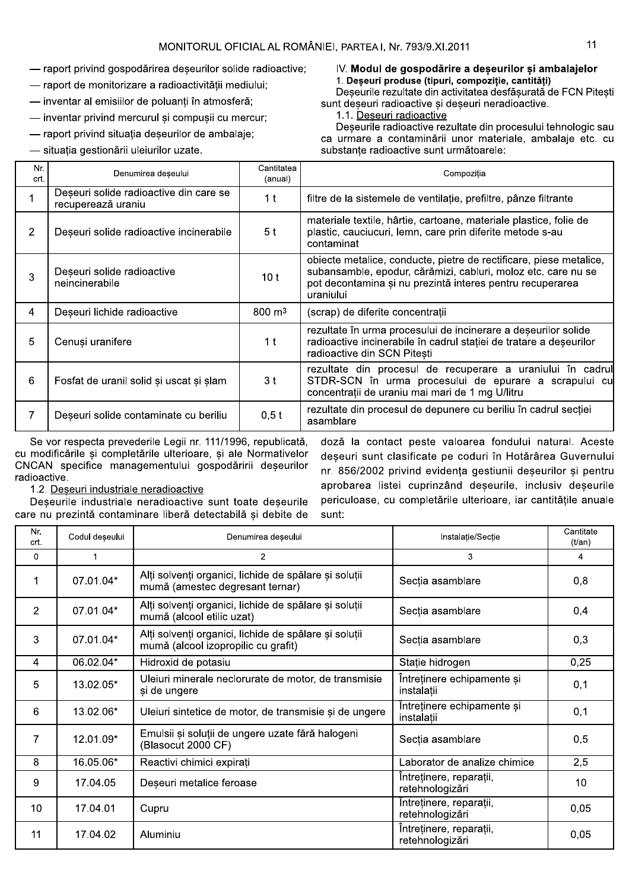- raport privind gospodărirea deseurilor solide radioactive;
- raport de monitorizare a radioactivității mediului;
- inventar al emisiilor de poluanti în atmosferă;
- inventar privind mercurul și compușii cu mercur;
- raport privind situația deșeurilor de ambalaje;
- situația gestionării uleiurilor uzate.

# IV. Modul de gospodărire a deseurilor și ambalajelor 1. Deseuri produse (tipuri, compozitie, cantităti)

Deseurile rezultate din activitatea desfăsurată de FCN Pitesti sunt deseuri radioactive si deseuri neradioactive.

1.1. Deseuri radioactive

Deseurile radioactive rezultate din procesului tehnologic sau ca urmare a contaminării unor materiale, ambalaje etc. cu substante radioactive sunt următoarele:

| Nr.<br>crt.    | Denumirea deșeului                                           | Cantitatea<br>(anual) | Compoziția                                                                                                                                                                                                    |
|----------------|--------------------------------------------------------------|-----------------------|---------------------------------------------------------------------------------------------------------------------------------------------------------------------------------------------------------------|
|                | Deșeuri solide radioactive din care se<br>recuperează uraniu | 1 t                   | filtre de la sistemele de ventilație, prefiltre, pânze filtrante                                                                                                                                              |
| $\overline{2}$ | Deșeuri solide radioactive incinerabile                      | 5 <sup>t</sup>        | materiale textile, hârtie, cartoane, materiale plastice, folie de<br>plastic, cauciucuri, lemn, care prin diferite metode s-au<br>contaminat                                                                  |
| 3              | Deseuri solide radioactive<br>neincinerabile                 | 10 t                  | obiecte metalice, conducte, pietre de rectificare, piese metalice,<br>subansamble, epodur, cărămizi, cabluri, moloz etc. care nu se<br>pot decontamina și nu prezintă interes pentru recuperarea<br>uraniului |
| 4              | Deșeuri lichide radioactive                                  | $800 \; \mathrm{m}^3$ | (scrap) de diferite concentrații                                                                                                                                                                              |
| 5              | Cenuși uranifere                                             | 1 t                   | rezultate în urma procesului de incinerare a deșeurilor solide<br>radioactive incinerabile în cadrul stației de tratare a deșeurilor<br>radioactive din SCN Pitesti                                           |
| 6              | Fosfat de uranil solid și uscat și șlam                      | 3 t                   | rezultate din procesul de recuperare a uraniului în cadrul<br>STDR-SCN în urma procesului de epurare a scrapului cu<br>concentrații de uraniu mai mari de 1 mg U/litru                                        |
| 7              | Deșeuri solide contaminate cu beriliu                        | 0,5t                  | rezultate din procesul de depunere cu beriliu în cadrul secției<br>asamblare                                                                                                                                  |

Se vor respecta prevederile Legii nr. 111/1996, republicată, cu modificările și completările ulterioare, și ale Normativelor CNCAN specifice managementului gospodăririi deșeurilor radioactive.

doză la contact peste valoarea fondului natural. Aceste deșeuri sunt clasificate pe coduri în Hotărârea Guvernului nr. 856/2002 privind evidența gestiunii deseurilor și pentru aprobarea listei cuprinzând deșeurile, inclusiv deșeurile periculoase, cu completările ulterioare, iar cantitățile anuale sunt:

# 1.2. Deseuri industriale neradioactive

Deseurile industriale neradioactive sunt toate deseurile care nu prezintă contaminare liberă detectabilă și debite de

| Nr.<br>crt.     | Codul deșeului | Denumirea deșeului<br>Instalatie/Sectie                                                                          |                                            | Cantitate<br>$(t/\text{an})$ |
|-----------------|----------------|------------------------------------------------------------------------------------------------------------------|--------------------------------------------|------------------------------|
| 0               | 1              | $\overline{2}$<br>3                                                                                              |                                            | 4                            |
|                 | 07.01.04*      | Alți solvenți organici, lichide de spălare și soluții<br>mumă (amestec degresant ternar)                         | Secția asamblare                           | 0,8                          |
| $\overline{2}$  | 07.01.04*      | Alți solvenți organici, lichide de spălare și soluții<br>mumă (alcool etilic uzat)                               | Sectia asamblare                           | 0,4                          |
| 3               | 07.01.04*      | Alți solvenți organici, lichide de spălare și soluții<br>mumă (alcool izopropilic cu grafit)                     | Sectia asamblare                           | 0,3                          |
| 4               | 06.02.04*      | Hidroxid de potasiu                                                                                              | Statie hidrogen                            | 0,25                         |
| 5               | 13.02.05*      | Întreținere echipamente și<br>Uleiuri minerale neclorurate de motor, de transmisie<br>și de ungere<br>instalații |                                            | 0,1                          |
| 6               | 13.02.06*      | Uleiuri sintetice de motor, de transmisie și de ungere                                                           | Intretinere echipamente și<br>instalații   | 0,1                          |
| 7               | 12.01.09*      | Emulsii și soluții de ungere uzate fără halogeni<br>(Blasocut 2000 CF)                                           | Secția asamblare                           | 0,5                          |
| 8               | 16.05.06*      | Reactivi chimici expirati                                                                                        | Laborator de analize chimice               | 2,5                          |
| 9               | 17.04.05       | Deșeuri metalice feroase                                                                                         | Întreținere, reparații,<br>retehnologizări | 10                           |
| 10 <sup>1</sup> | 17.04.01       | Cupru                                                                                                            | Întreținere, reparații,<br>retehnologizări | 0,05                         |
| 11              | 17.04.02       | Aluminiu                                                                                                         | Întreținere, reparații,<br>retehnologizări | 0,05                         |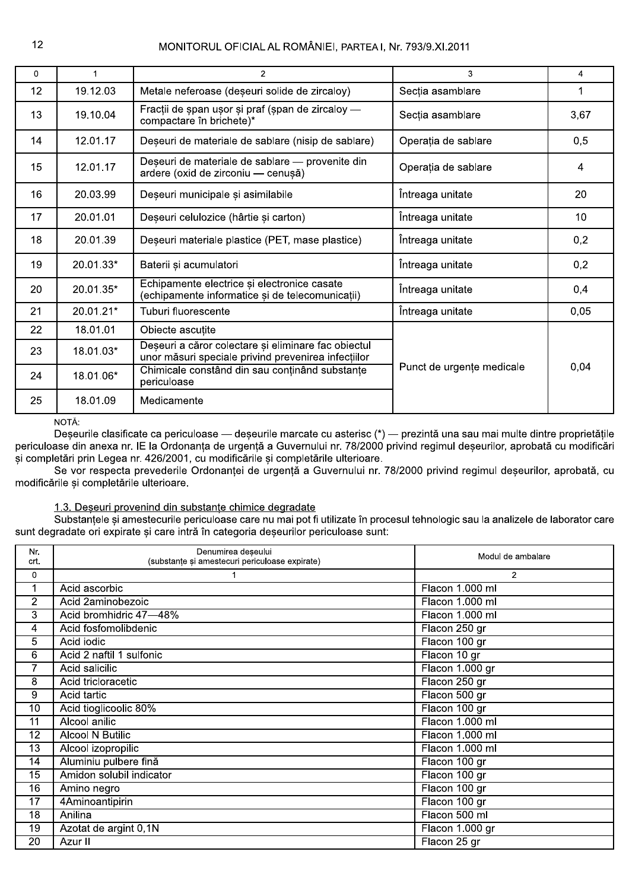| $\mathbf{0}$ | 1         | $\overline{2}$                                                                                             | 3                         | 4    |
|--------------|-----------|------------------------------------------------------------------------------------------------------------|---------------------------|------|
| 12           | 19.12.03  | Metale neferoase (deșeuri solide de zircaloy)                                                              | Secția asamblare          |      |
| 13           | 19.10.04  | Fracții de șpan ușor și praf (șpan de zircaloy -<br>compactare în brichete)*                               | Secția asamblare          | 3,67 |
| 14           | 12.01.17  | Deșeuri de materiale de sablare (nisip de sablare)                                                         | Operația de sablare       | 0,5  |
| 15           | 12.01.17  | Deșeuri de materiale de sablare - provenite din<br>ardere (oxid de zirconiu - cenușă)                      | Operația de sablare       | 4    |
| 16           | 20.03.99  | Deșeuri municipale și asimilabile                                                                          | Întreaga unitate          | 20   |
| 17           | 20.01.01  | Deșeuri celulozice (hârtie și carton)                                                                      | Întreaga unitate          | 10   |
| 18           | 20.01.39  | Deșeuri materiale plastice (PET, mase plastice)                                                            | Întreaga unitate          | 0,2  |
| 19           | 20.01.33* | Întreaga unitate<br>Baterii și acumulatori                                                                 |                           | 0,2  |
| 20           | 20.01.35* | Echipamente electrice și electronice casate<br>(echipamente informatice și de telecomunicații)             | Întreaga unitate          |      |
| 21           | 20.01.21* | Tuburi fluorescente                                                                                        | Întreaga unitate          | 0,05 |
| 22           | 18.01.01  | Obiecte ascuțite                                                                                           |                           |      |
| 23           | 18.01.03* | Deșeuri a căror colectare și eliminare fac obiectul<br>unor măsuri speciale privind prevenirea infecțiilor |                           |      |
| 24           | 18.01.06* | Chimicale constând din sau conținând substanțe<br>periculoase                                              | Punct de urgențe medicale | 0,04 |
| 25           | 18.01.09  | Medicamente                                                                                                |                           |      |

## NOTĂ:

Deșeurile clasificate ca periculoase — deșeurile marcate cu asterisc (\*) — prezintă una sau mai multe dintre proprietățile periculoase din anexa nr. IE la Ordonanța de urgență a Guvernului nr. 78/2000 privind regimul deșeurilor, aprobată cu modificări și completări prin Legea nr. 426/2001, cu modificările și completările ulterioare.

Se vor respecta prevederile Ordonanței de urgență a Guvernului nr. 78/2000 privind regimul deșeurilor, aprobată, cu modificările si completările ulterioare.

# 1.3. Deseuri provenind din substante chimice degradate

Substantele si amestecurile periculoase care nu mai pot fi utilizate în procesul tehnologic sau la analizele de laborator care sunt degradate ori expirate și care intră în categoria deșeurilor periculoase sunt:

| Nr.<br>crt.     | Denumirea deșeului<br>(substanțe și amestecuri periculoase expirate) | Modul de ambalare |
|-----------------|----------------------------------------------------------------------|-------------------|
| 0               |                                                                      | $\overline{2}$    |
| 1               | Acid ascorbic                                                        | Flacon 1.000 ml   |
| $\overline{2}$  | Acid 2aminobezoic                                                    | Flacon 1.000 ml   |
| 3               | Acid bromhidric 47-48%                                               | Flacon 1.000 ml   |
| 4               | Acid fosfomolibdenic                                                 | Flacon 250 gr     |
| $\overline{5}$  | Acid iodic                                                           | Flacon 100 gr     |
| 6               | Acid 2 naftil 1 sulfonic                                             | Flacon 10 gr      |
| 7               | Acid salicilic                                                       | Flacon 1.000 gr   |
| $\overline{8}$  | Acid tricloracetic                                                   | Flacon 250 gr     |
| $\overline{9}$  | Acid tartic                                                          | Flacon 500 gr     |
| $\overline{10}$ | Acid tioglicoolic 80%                                                | Flacon 100 gr     |
| $\overline{11}$ | Alcool anilic                                                        | Flacon 1.000 ml   |
| $\overline{12}$ | <b>Alcool N Butilic</b>                                              | Flacon 1.000 ml   |
| $\overline{13}$ | Alcool izopropilic                                                   | Flacon 1.000 ml   |
| 14              | Aluminiu pulbere fină                                                | Flacon 100 gr     |
| 15              | Amidon solubil indicator                                             | Flacon 100 gr     |
| $\overline{16}$ | Amino negro                                                          | Flacon 100 gr     |
| $\overline{17}$ | 4Aminoantipirin                                                      | Flacon 100 gr     |
| $\overline{18}$ | Anilina                                                              | Flacon 500 ml     |
| $\overline{19}$ | Azotat de argint 0,1N                                                | Flacon 1.000 gr   |
| $\overline{20}$ | Azur II                                                              | Flacon 25 gr      |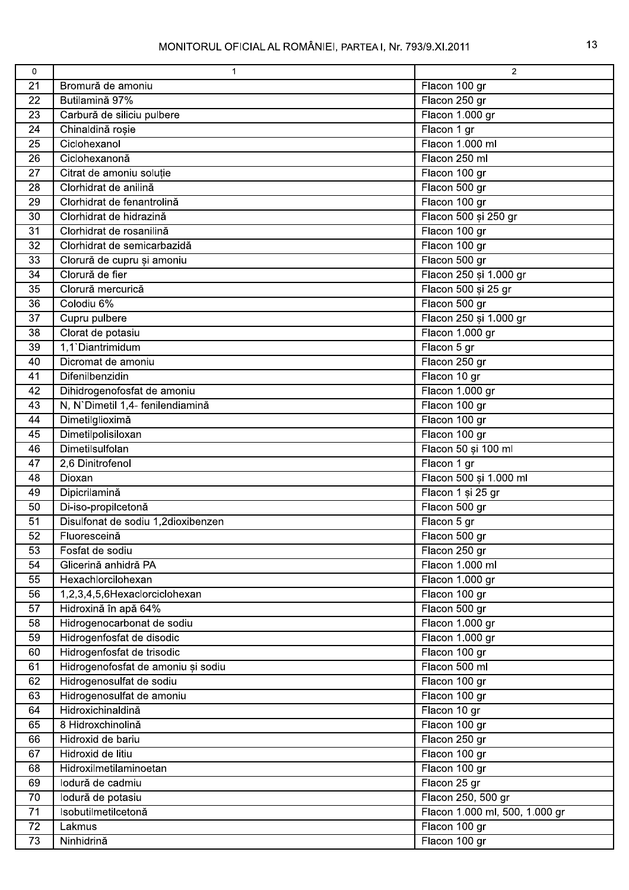| 0               | $\mathbf 1$                        | $\overline{2}$                 |
|-----------------|------------------------------------|--------------------------------|
| 21              | Bromură de amoniu                  | Flacon 100 gr                  |
| 22              | Butilamină 97%                     | Flacon 250 gr                  |
| 23              | Carbură de siliciu pulbere         | Flacon 1.000 gr                |
| $\overline{24}$ | Chinaldină roșie                   | Flacon 1 gr                    |
| 25              | Ciclohexanol                       | Flacon 1.000 ml                |
| 26              | Ciclohexanonă                      | Flacon 250 ml                  |
| $\overline{27}$ | Citrat de amoniu soluție           | Flacon 100 gr                  |
| 28              | Clorhidrat de anilină              | Flacon 500 gr                  |
| 29              | Clorhidrat de fenantrolină         | Flacon 100 gr                  |
| 30              | Clorhidrat de hidrazină            | Flacon 500 și 250 gr           |
| 31              | Clorhidrat de rosanilină           | Flacon 100 gr                  |
| 32              | Clorhidrat de semicarbazidă        | Flacon 100 gr                  |
| 33              | Clorură de cupru și amoniu         | Flacon 500 gr                  |
| 34              | Clorură de fier                    | Flacon 250 și 1.000 gr         |
| $\overline{35}$ | Clorură mercurică                  | Flacon 500 și 25 gr            |
| 36              | Colodiu 6%                         | Flacon 500 gr                  |
| 37              | Cupru pulbere                      | Flacon 250 și 1.000 gr         |
| 38              | Clorat de potasiu                  | Flacon 1.000 gr                |
| 39              | 1,1'Diantrimidum                   | Flacon 5 gr                    |
| 40              | Dicromat de amoniu                 | Flacon 250 gr                  |
| 41              | Difenilbenzidin                    | Flacon 10 gr                   |
| 42              | Dihidrogenofosfat de amoniu        | Flacon 1.000 gr                |
| 43              | N, N'Dimetil 1,4- fenilendiamină   | Flacon 100 gr                  |
| 44              | Dimetilglioximă                    | Flacon 100 gr                  |
| 45              | Dimetilpolisiloxan                 | Flacon 100 gr                  |
| 46              | Dimetilsulfolan                    | Flacon 50 și 100 ml            |
| 47              | 2,6 Dinitrofenol                   | Flacon 1 gr                    |
| 48              | Dioxan                             | Flacon 500 și 1.000 ml         |
| 49              | Dipicrilamină                      | Flacon 1 și 25 gr              |
| 50              | Di-iso-propilcetonă                | Flacon 500 gr                  |
| 51              | Disulfonat de sodiu 1,2dioxibenzen | Flacon 5 gr                    |
| $\overline{52}$ | Fluoresceină                       | Flacon 500 gr                  |
| 53              | Fosfat de sodiu                    | Flacon 250 gr                  |
| 54              | Glicerină anhidră PA               | Flacon 1.000 ml                |
| 55              | Hexachlorcilohexan                 | Flacon 1.000 gr                |
| 56              | 1,2,3,4,5,6Hexaclorciclohexan      | Flacon 100 gr                  |
| 57              | Hidroxină în apă 64%               | Flacon 500 gr                  |
| $\overline{58}$ | Hidrogenocarbonat de sodiu         | Flacon 1.000 gr                |
| 59              | Hidrogenfosfat de disodic          | Flacon 1.000 gr                |
| 60              | Hidrogenfosfat de trisodic         | Flacon 100 gr                  |
| 61              | Hidrogenofosfat de amoniu și sodiu | Flacon 500 ml                  |
| 62              | Hidrogenosulfat de sodiu           | Flacon 100 gr                  |
| 63              | Hidrogenosulfat de amoniu          | Flacon 100 gr                  |
| 64              | Hidroxichinaldină                  | Flacon 10 gr                   |
| 65              | 8 Hidroxchinolină                  | Flacon 100 gr                  |
| 66              | Hidroxid de bariu                  | Flacon 250 gr                  |
| 67              | Hidroxid de litiu                  | Flacon 100 gr                  |
| 68              | Hidroxilmetilaminoetan             | Flacon 100 gr                  |
| 69              | lodură de cadmiu                   | Flacon 25 gr                   |
| 70              | lodură de potasiu                  | Flacon 250, 500 gr             |
| 71              | Isobutilmetilcetonă                | Flacon 1.000 ml, 500, 1.000 gr |
| $\overline{72}$ | Lakmus                             | Flacon 100 gr                  |
| 73              | Ninhidrină                         | Flacon 100 gr                  |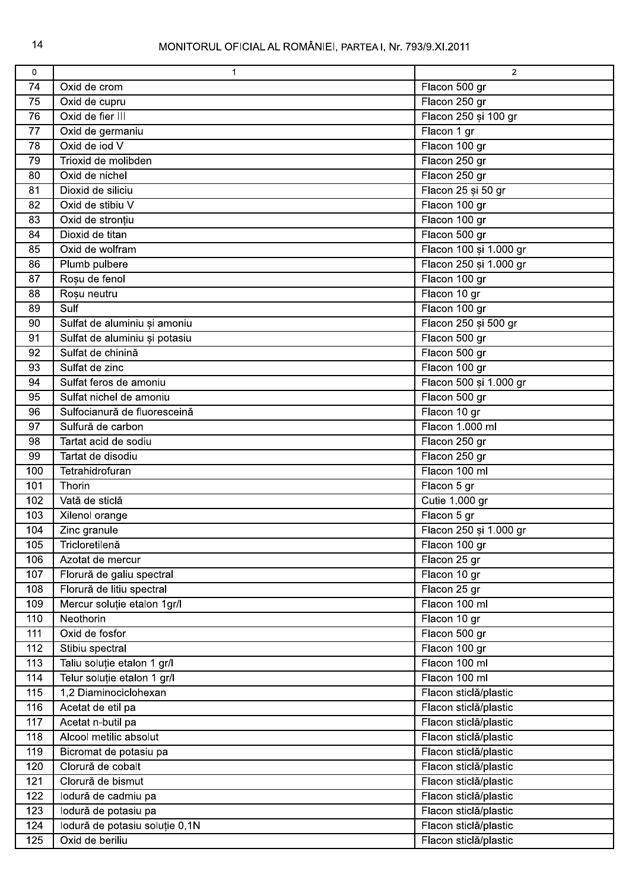| 0   | $\mathbf 1$                    | 2                      |
|-----|--------------------------------|------------------------|
| 74  | Oxid de crom                   | Flacon 500 gr          |
| 75  | Oxid de cupru                  | Flacon 250 gr          |
| 76  | Oxid de fier III               | Flacon 250 și 100 gr   |
| 77  | Oxid de germaniu               | Flacon 1 gr            |
| 78  | Oxid de jod V                  | Flacon 100 gr          |
| 79  | Trioxid de molibden            | Flacon 250 gr          |
| 80  | Oxid de nichel                 | Flacon 250 gr          |
| 81  | Dioxid de siliciu              | Flacon 25 și 50 gr     |
| 82  | Oxid de stibiu V               | Flacon 100 gr          |
| 83  | Oxid de stronțiu               | Flacon 100 gr          |
| 84  | Dioxid de titan                | Flacon 500 gr          |
| 85  | Oxid de wolfram                | Flacon 100 și 1.000 gr |
| 86  | Plumb pulbere                  | Flacon 250 și 1.000 gr |
| 87  | Roșu de fenol                  | Flacon 100 gr          |
| 88  | Roșu neutru                    | Flacon 10 gr           |
| 89  | Sulf                           | Flacon 100 gr          |
| 90  | Sulfat de aluminiu și amoniu   | Flacon 250 și 500 gr   |
| 91  | Sulfat de aluminiu și potasiu  | Flacon 500 gr          |
| 92  | Sulfat de chinină              | Flacon 500 gr          |
|     | Sulfat de zinc                 | Flacon 100 gr          |
| 93  |                                |                        |
| 94  | Sulfat feros de amoniu         | Flacon 500 și 1.000 gr |
| 95  | Sulfat nichel de amoniu        | Flacon 500 gr          |
| 96  | Sulfocianură de fluoresceină   | Flacon 10 gr           |
| 97  | Sulfură de carbon              | Flacon 1.000 ml        |
| 98  | Tartat acid de sodiu           | Flacon 250 gr          |
| 99  | Tartat de disodiu              | Flacon 250 gr          |
| 100 | Tetrahidrofuran                | Flacon 100 ml          |
| 101 | Thorin                         | Flacon 5 gr            |
| 102 | Vată de sticlă                 | Cutie 1.000 gr         |
| 103 | Xilenol orange                 | Flacon 5 gr            |
| 104 | Zinc granule                   | Flacon 250 și 1.000 gr |
| 105 | Tricloretilenă                 | Flacon 100 gr          |
| 106 | Azotat de mercur               | Flacon 25 gr           |
| 107 | Florură de galiu spectral      | Flacon 10 gr           |
| 108 | Florură de litiu spectral      | Flacon 25 gr           |
| 109 | Mercur soluție etalon 1gr/l    | Flacon 100 ml          |
| 110 | Neothorin                      | Flacon 10 gr           |
| 111 | Oxid de fosfor                 | Flacon 500 gr          |
| 112 | Stibiu spectral                | Flacon 100 gr          |
| 113 | Taliu soluție etalon 1 gr/l    | Flacon 100 ml          |
| 114 | Telur soluție etalon 1 gr/l    | Flacon 100 ml          |
| 115 | 1,2 Diaminociclohexan          | Flacon sticlă/plastic  |
| 116 | Acetat de etil pa              | Flacon sticlă/plastic  |
| 117 | Acetat n-butil pa              | Flacon sticlă/plastic  |
| 118 | Alcool metilic absolut         | Flacon sticlă/plastic  |
| 119 | Bicromat de potasiu pa         | Flacon sticlă/plastic  |
| 120 | Clorură de cobalt              | Flacon sticlă/plastic  |
| 121 | Clorură de bismut              | Flacon sticlă/plastic  |
| 122 | lodură de cadmiu pa            | Flacon sticlă/plastic  |
| 123 | lodură de potasiu pa           | Flacon sticlă/plastic  |
| 124 | lodură de potasiu soluție 0,1N | Flacon sticlă/plastic  |
| 125 | Oxid de beriliu                | Flacon sticlă/plastic  |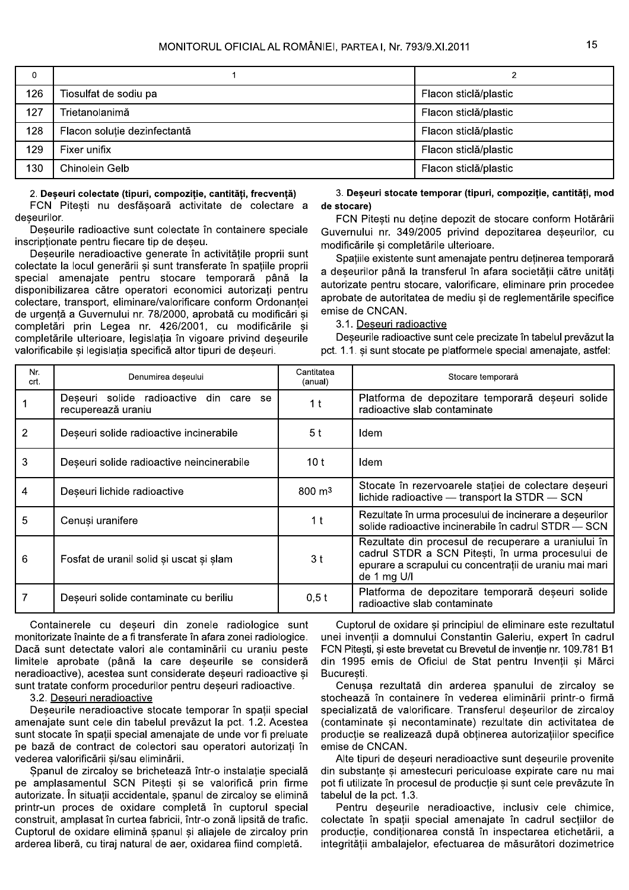| 0   |                              |                       |
|-----|------------------------------|-----------------------|
| 126 | Tiosulfat de sodiu pa        | Flacon sticlă/plastic |
| 127 | Trietanolanimă               | Flacon sticlă/plastic |
| 128 | Flacon soluție dezinfectantă | Flacon sticlă/plastic |
| 129 | Fixer unifix                 | Flacon sticlă/plastic |
| 130 | Chinolein Gelb               | Flacon sticlă/plastic |

#### 2. Deseuri colectate (tipuri, compozitie, cantităti, frecventă)

FCN Pitești nu desfășoară activitate de colectare a deseurilor

Deseurile radioactive sunt colectate în containere speciale inscriptionate pentru fiecare tip de deseu.

Deseurile neradioactive generate în activitățile proprii sunt colectate la locul generării și sunt transferate în spațiile proprii special amenajate pentru stocare temporară până la disponibilizarea către operatori economici autorizați pentru colectare, transport, eliminare/valorificare conform Ordonantei de urgentă a Guvernului nr. 78/2000, aprobată cu modificări si completări prin Legea nr. 426/2001, cu modificările si completările ulterioare, legislatia în vigoare privind deseurile valorificabile și legislația specifică altor tipuri de deseuri.

3. Deseuri stocate temporar (tipuri, compozitie, cantităti, mod de stocare)

FCN Pitesti nu detine depozit de stocare conform Hotărârii Guvernului nr. 349/2005 privind depozitarea deseurilor, cu modificările si completările ulterioare.

Spațiile existente sunt amenajate pentru deținerea temporară a deșeurilor până la transferul în afara societății către unități autorizate pentru stocare, valorificare, eliminare prin procedee aprobate de autoritatea de mediu si de reglementările specifice emise de CNCAN.

3.1. Deseuri radioactive

Deșeurile radioactive sunt cele precizate în tabelul prevăzut la pct. 1.1. si sunt stocate pe platformele special amenajate, astfel:

| Nr.<br>crt.    | Denumirea deseului                                           | Cantitatea<br>(anual) | Stocare temporară                                                                                                                                                                |
|----------------|--------------------------------------------------------------|-----------------------|----------------------------------------------------------------------------------------------------------------------------------------------------------------------------------|
|                | Deșeuri solide radioactive din care se<br>recuperează uraniu | 1 <sub>t</sub>        | Platforma de depozitare temporară deșeuri solide<br>radioactive slab contaminate                                                                                                 |
| $\overline{2}$ | Deșeuri solide radioactive incinerabile                      | 5 <sup>t</sup>        | Idem                                                                                                                                                                             |
| 3              | Deseuri solide radioactive neincinerabile                    | 10 $t$                | Idem                                                                                                                                                                             |
| 4              | Deșeuri lichide radioactive                                  | $800 \text{ m}^3$     | Stocate în rezervoarele stației de colectare deșeuri<br>lichide radioactive - transport la STDR - SCN                                                                            |
| 5              | Cenuși uranifere                                             | 1 <sub>t</sub>        | Rezultate în urma procesului de incinerare a deșeurilor<br>solide radioactive incinerabile în cadrul STDR - SCN                                                                  |
| 6              | Fosfat de uranil solid și uscat și șlam                      | 3 <sub>t</sub>        | Rezultate din procesul de recuperare a uraniului în<br>cadrul STDR a SCN Pitești, în urma procesului de<br>epurare a scrapului cu concentrații de uraniu mai mari<br>de 1 mg U/I |
|                | Deșeuri solide contaminate cu beriliu                        | $0,5$ t               | Platforma de depozitare temporară deșeuri solide<br>radioactive slab contaminate                                                                                                 |

Containerele cu deșeuri din zonele radiologice sunt monitorizate înainte de a fi transferate în afara zonei radiologice. Dacă sunt detectate valori ale contaminării cu uraniu peste limitele aprobate (până la care deseurile se consideră neradioactive), acestea sunt considerate deșeuri radioactive și sunt tratate conform procedurilor pentru deseuri radioactive.

3.2. Deseuri neradioactive

Deșeurile neradioactive stocate temporar în spații special amenajate sunt cele din tabelul prevăzut la pct. 1.2. Acestea sunt stocate în spații special amenajate de unde vor fi preluate pe bază de contract de colectori sau operatori autorizati în vederea valorificării si/sau eliminării.

Spanul de zircaloy se brichetează într-o instalatie specială pe amplasamentul SCN Pitesti și se valorifică prin firme autorizate. În situatii accidentale, spanul de zircalov se elimină printr-un proces de oxidare completă în cuptorul special construit, amplasat în curtea fabricii, într-o zonă lipsită de trafic. Cuptorul de oxidare elimină șpanul și aliajele de zircaloy prin arderea liberă, cu tiraj natural de aer, oxidarea fiind completă.

Cuptorul de oxidare și principiul de eliminare este rezultatul unei invenții a domnului Constantin Galeriu, expert în cadrul FCN Pitesti, si este brevetat cu Brevetul de invenție nr. 109.781 B1 din 1995 emis de Oficiul de Stat pentru Inventii si Mărci Bucuresti.

Cenusa rezultată din arderea spanului de zircaloy se stochează în containere în vederea eliminării printr-o firmă specializată de valorificare. Transferul deșeurilor de zircaloy (contaminate și necontaminate) rezultate din activitatea de producție se realizează după obținerea autorizațiilor specifice emise de CNCAN.

Alte tipuri de deseuri neradioactive sunt deseurile provenite din substante si amestecuri periculoase expirate care nu mai pot fi utilizate în procesul de productie și sunt cele prevăzute în tabelul de la pct. 1.3.

Pentru deseurile neradioactive, inclusiv cele chimice, colectate în spații special amenajate în cadrul secțiilor de productie, conditionarea constă în inspectarea etichetării, a integrității ambalajelor, efectuarea de măsurători dozimetrice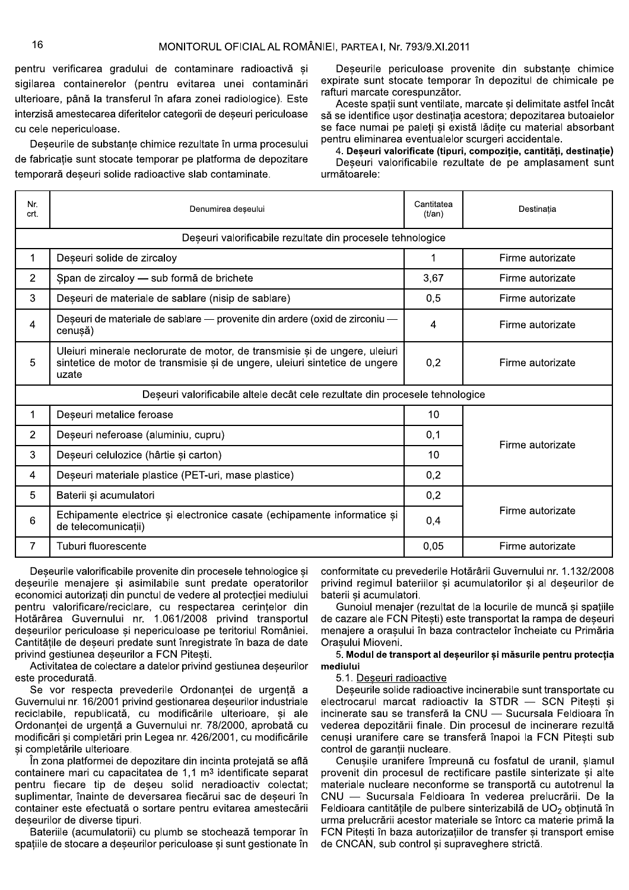|                                                                                                                                                                        | pentru verificarea gradului de contaminare radioactivă și<br>Deseurile periculoase provenite din substante chimice<br>expirate sunt stocate temporar în depozitul de chimicale pe<br>sigilarea containerelor (pentru evitarea unei contaminări<br>rafturi marcate corespunzător.<br>ulterioare, până la transferul în afara zonei radiologice). Este<br>Aceste spații sunt ventilate, marcate și delimitate astfel încât<br>interzisă amestecarea diferitelor categorii de deșeuri periculoase<br>să se identifice ușor destinația acestora; depozitarea butoaielor<br>se face numai pe paleți și există lădițe cu material absorbant<br>cu cele nepericuloase.<br>pentru eliminarea eventualelor scurgeri accidentale.<br>Deșeurile de substanțe chimice rezultate în urma procesului<br>4. Deșeuri valorificate (tipuri, compoziție, cantități, destinație)<br>de fabricație sunt stocate temporar pe platforma de depozitare<br>Deseuri valorificabile rezultate de pe amplasament sunt<br>temporară deșeuri solide radioactive slab contaminate.<br>următoarele: |                               |                  |  |
|------------------------------------------------------------------------------------------------------------------------------------------------------------------------|----------------------------------------------------------------------------------------------------------------------------------------------------------------------------------------------------------------------------------------------------------------------------------------------------------------------------------------------------------------------------------------------------------------------------------------------------------------------------------------------------------------------------------------------------------------------------------------------------------------------------------------------------------------------------------------------------------------------------------------------------------------------------------------------------------------------------------------------------------------------------------------------------------------------------------------------------------------------------------------------------------------------------------------------------------------------|-------------------------------|------------------|--|
| Nr.<br>crt.                                                                                                                                                            | Denumirea deșeului                                                                                                                                                                                                                                                                                                                                                                                                                                                                                                                                                                                                                                                                                                                                                                                                                                                                                                                                                                                                                                                   | Cantitatea<br>$(t/\text{an})$ | Destinația       |  |
|                                                                                                                                                                        | Deșeuri valorificabile rezultate din procesele tehnologice                                                                                                                                                                                                                                                                                                                                                                                                                                                                                                                                                                                                                                                                                                                                                                                                                                                                                                                                                                                                           |                               |                  |  |
| $\mathbf 1$                                                                                                                                                            | Deșeuri solide de zircaloy                                                                                                                                                                                                                                                                                                                                                                                                                                                                                                                                                                                                                                                                                                                                                                                                                                                                                                                                                                                                                                           | 1                             | Firme autorizate |  |
| $\overline{2}$                                                                                                                                                         | Span de zircaloy - sub formă de brichete                                                                                                                                                                                                                                                                                                                                                                                                                                                                                                                                                                                                                                                                                                                                                                                                                                                                                                                                                                                                                             | 3,67                          | Firme autorizate |  |
| 3                                                                                                                                                                      | Deșeuri de materiale de sablare (nisip de sablare)                                                                                                                                                                                                                                                                                                                                                                                                                                                                                                                                                                                                                                                                                                                                                                                                                                                                                                                                                                                                                   |                               | Firme autorizate |  |
| 4                                                                                                                                                                      | Deșeuri de materiale de sablare - provenite din ardere (oxid de zirconiu -<br>cenușă)                                                                                                                                                                                                                                                                                                                                                                                                                                                                                                                                                                                                                                                                                                                                                                                                                                                                                                                                                                                |                               | Firme autorizate |  |
| Uleiuri minerale neclorurate de motor, de transmisie și de ungere, uleiuri<br>5<br>sintetice de motor de transmisie și de ungere, uleiuri sintetice de ungere<br>uzate |                                                                                                                                                                                                                                                                                                                                                                                                                                                                                                                                                                                                                                                                                                                                                                                                                                                                                                                                                                                                                                                                      | 0,2                           | Firme autorizate |  |
|                                                                                                                                                                        | Deșeuri valorificabile altele decât cele rezultate din procesele tehnologice                                                                                                                                                                                                                                                                                                                                                                                                                                                                                                                                                                                                                                                                                                                                                                                                                                                                                                                                                                                         |                               |                  |  |
| $\mathbf{1}$                                                                                                                                                           | Deșeuri metalice feroase                                                                                                                                                                                                                                                                                                                                                                                                                                                                                                                                                                                                                                                                                                                                                                                                                                                                                                                                                                                                                                             | 10                            |                  |  |
| $\overline{2}$                                                                                                                                                         | Deșeuri neferoase (aluminiu, cupru)                                                                                                                                                                                                                                                                                                                                                                                                                                                                                                                                                                                                                                                                                                                                                                                                                                                                                                                                                                                                                                  |                               | Firme autorizate |  |
| 3                                                                                                                                                                      | Deșeuri celulozice (hârtie și carton)                                                                                                                                                                                                                                                                                                                                                                                                                                                                                                                                                                                                                                                                                                                                                                                                                                                                                                                                                                                                                                |                               |                  |  |
| 4                                                                                                                                                                      | Deșeuri materiale plastice (PET-uri, mase plastice)                                                                                                                                                                                                                                                                                                                                                                                                                                                                                                                                                                                                                                                                                                                                                                                                                                                                                                                                                                                                                  | 0,2                           |                  |  |
| 5                                                                                                                                                                      | Baterii și acumulatori                                                                                                                                                                                                                                                                                                                                                                                                                                                                                                                                                                                                                                                                                                                                                                                                                                                                                                                                                                                                                                               | 0,2                           |                  |  |
| 6                                                                                                                                                                      | Echipamente electrice și electronice casate (echipamente informatice și<br>de telecomunicații)                                                                                                                                                                                                                                                                                                                                                                                                                                                                                                                                                                                                                                                                                                                                                                                                                                                                                                                                                                       | 0,4                           | Firme autorizate |  |
| $\overline{7}$                                                                                                                                                         | Tuburi fluorescente                                                                                                                                                                                                                                                                                                                                                                                                                                                                                                                                                                                                                                                                                                                                                                                                                                                                                                                                                                                                                                                  | 0,05                          | Firme autorizate |  |

Deseurile valorificabile provenite din procesele tehnologice si deseurile menaiere si asimilabile sunt predate operatorilor economici autorizati din punctul de vedere al protectiei mediului pentru valorificare/reciclare. cu respectarea cerintelor din .<br>Hotărârea Guvernului nr. 1.061/2008 privind transportul deseurilor periculoase si nepericuloase pe teritoriul României. Cantitătile de deseuri predate sunt înregistrate în baza de date privind gestiunea deseurilor a FCN Pitesti.

Activitatea de colectare a datelor privind gestiunea deseurilor este procedurată.

Se vor respecta prevederile Ordonantei de urgentă a Guvernului nr. 16/2001 privind gestionarea deseurilor industriale reciclabile, republicată, cu modificările ulterioare, si ale Ordonantei de urgentă a Guvernului nr. 78/2000. aprobată cu modificări și completări prin Legea nr. 426/2001. cu modificările si completårile ulterioare.

În zona platformei de depozitare din incinta proteiată se află containere mari cu capacitatea de 1.1 m<sup>3</sup> identificate separat pentru fiecare tip de deseu solid neradioactiv colectat: .<br>suplimentar, înainte de deversarea fiecărui sac de deseuri în container este efectuată o sortare pentru evitarea amestecării deseurilor de diverse tipuri.

Bateriile (acumulatorii) cu plumb se stochează temporar în spatiile de stocare a deseurilor periculoase si sunt gestionate în

conformitate cu prevederile Hotărârii Guvernului nr. 1.132/2008 privind regimul bateriilor si acumulatorilor si al deseurilor de .<br>baterii si acumulatori.

Gunoiul menaier (rezultat de la locurile de muncă și spatiile de cazare ale FCN Pitesti) este transportat la rampa de deseuri menaiere a orasului în baza contractelor încheiate cu Primăria Orasului Mioveni.

5.1. Deseuri radioactive

ehnologice și conformitate cu prevederile Hotărârii Guvernului nr. 1.132/2008<br>
operatorilor privind regimul baterii și acumulatorilor și al deșeurilor de<br>
cției mediului baterii și acumulatori.<br>
erințelor din Guaziu menaje Deseurile solide radioactive incinerabile sunt transportate cu electrocarul marcat radioactiv la STDR — SCN Pitesti si incinerate sau se transferă la CNU — Sucursala Feldioara în vederea depozitării finale. Din procesul de incinerare rezultă cenusi uranifere care se transferă înapoi la FCN Pitesti sub control de garantii nucleare.

Cenusile uranifere împreună cu fosfatul de uranil. slamul provenit din procesul de rectificare pastile sinterizate si alte .<br>materiale nucleare neconforme se transportă cu autotrenul la CNU — Sucursala Feldioara în vederea prelucrării. De la Feldioara cantitățile de pulbere sinterizabilă de UO<sub>2</sub> obținută în urma prelucrării acestor materiale se întorc ca materie primă la FCN Pitesti în baza autorizatiilor de transfer si transport emise de CNCAN. sub control si supraveghere strictă.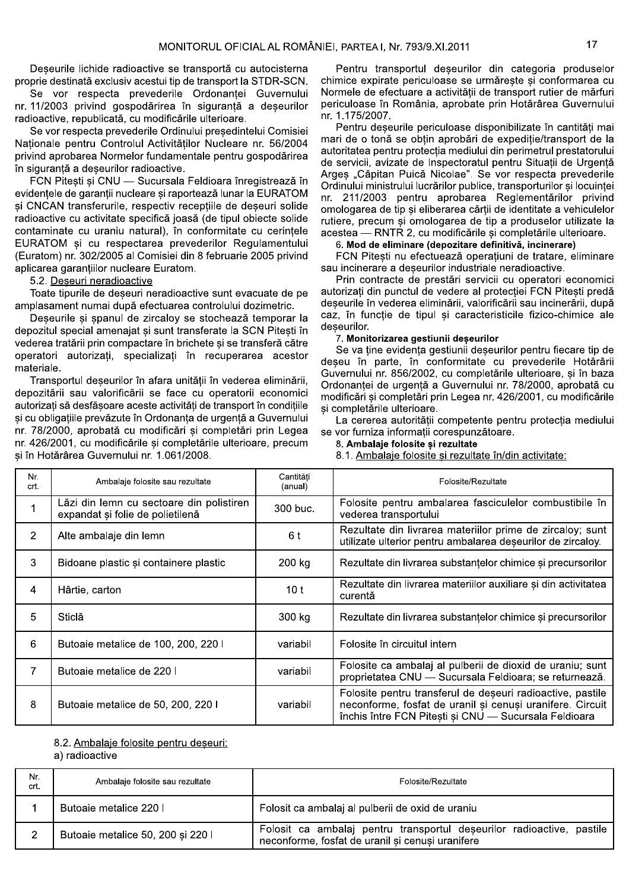Deseurile lichide radioactive se transportă cu autocisterna proprie destinată exclusiv acestui tip de transport la STDR-SCN.

Se vor respecta prevederile Ordonantei Guvernului nr. 11/2003 privind gospodărirea în siguranță a deșeurilor radioactive, republicată, cu modificările ulterioare.

Se vor respecta prevederile Ordinului președintelui Comisiei Nationale pentru Controlul Activităților Nucleare nr. 56/2004 privind aprobarea Normelor fundamentale pentru gospodărirea în siguranță a deseurilor radioactive.

FCN Pitesti și CNU - Sucursala Feldioara înregistrează în evidentele de garantii nucleare si raportează lunar la EURATOM și CNCAN transferurile, respectiv recepțiile de deșeuri solide radioactive cu activitate specifică joasă (de tipul obiecte solide contaminate cu uraniu natural), în conformitate cu cerintele EURATOM și cu respectarea prevederilor Regulamentului (Euratom) nr. 302/2005 al Comisiei din 8 februarie 2005 privind aplicarea garanțiilor nucleare Euratom.

5.2. Deseuri neradioactive

Toate tipurile de deseuri neradioactive sunt evacuate de pe amplasament numai după efectuarea controlului dozimetric.

Deșeurile și spanul de zircaloy se stochează temporar la depozitul special amenajat si sunt transferate la SCN Pitesti în vederea tratării prin compactare în brichete și se transferă către operatori autorizati, specializati în recuperarea acestor materiale.

Transportul deșeurilor în afara unității în vederea eliminării, depozitării sau valorificării se face cu operatorii economici autorizați să desfășoare aceste activități de transport în condițiile si cu obligatiile prevăzute în Ordonanta de urgentă a Guvernului nr. 78/2000, aprobată cu modificări și completări prin Legea nr. 426/2001, cu modificările și completările ulterioare, precum și în Hotărârea Guvernului nr. 1.061/2008.

Pentru transportul deseurilor din categoria produselor chimice expirate periculoase se urmăreste si conformarea cu Normele de efectuare a activității de transport ruțier de mărfuri periculoase în România, aprobate prin Hotărârea Guvernului nr. 1.175/2007.

Pentru deseurile periculoase disponibilizate în cantităti mai mari de o tonă se obtin aprobări de expeditie/transport de la autoritatea pentru protecția mediului din perimetrul prestatorului de servicii, avizate de Inspectoratul pentru Situații de Urgență Arges "Căpitan Puică Nicolae". Se vor respecta prevederile Ordinului ministrului lucrărilor publice, transporturilor și locuinței nr. 211/2003 pentru aprobarea Reglementărilor privind omologarea de tip si eliberarea cărții de identitate a vehiculelor rutiere, precum și omologarea de tip a produselor utilizate la acestea - RNTR 2, cu modificările și completările ulterioare.

#### 6. Mod de eliminare (depozitare definitivă, incinerare)

FCN Pitesti nu efectuează operatiuni de tratare, eliminare sau incinerare a deseurilor industriale neradioactive.

Prin contracte de prestări servicii cu operatori economici autorizati din punctul de vedere al protectiei FCN Pitesti predă deșeurile în vederea eliminării, valorificării sau incinerării, după caz, în funcție de tipul și caracteristicile fizico-chimice ale deseurilor.

#### 7. Monitorizarea gestiunii deseurilor

Se va tine evidenta gestiunii deseurilor pentru fiecare tip de deseu în parte, în conformitate cu prevederile Hotărârii Guvernului nr. 856/2002, cu completările ulterioare, și în baza Ordonanței de urgență a Guvernului nr. 78/2000, aprobată cu modificări și completări prin Legea nr. 426/2001, cu modificările si completările ulterioare.

La cererea autorității competente pentru protecția mediului se vor furniza informații corespunzătoare.

8. Ambalaje folosite și rezultate

8.1. Ambalaje folosite si rezultate în/din activitate:

| Nr.<br>crt. | Ambalaje folosite sau rezultate                                              | Cantităti<br>(anual) | Folosite/Rezultate                                                                                                                                                               |
|-------------|------------------------------------------------------------------------------|----------------------|----------------------------------------------------------------------------------------------------------------------------------------------------------------------------------|
|             | Lăzi din lemn cu sectoare din polistiren<br>expandat și folie de polietilenă | 300 buc.             | Folosite pentru ambalarea fasciculelor combustibile în<br>vederea transportului                                                                                                  |
| 2           | Alte ambalaje din lemn                                                       | 6 t                  | Rezultate din livrarea materiilor prime de zircaloy; sunt<br>utilizate ulterior pentru ambalarea deseurilor de zircaloy.                                                         |
| 3           | Bidoane plastic și containere plastic                                        | 200 kg               | Rezultate din livrarea substantelor chimice și precursorilor                                                                                                                     |
| 4           | Hârtie, carton                                                               | 10 <sub>t</sub>      | Rezultate din livrarea materiilor auxiliare și din activitatea<br>curentă                                                                                                        |
| 5           | Sticlă                                                                       | 300 kg               | Rezultate din livrarea substantelor chimice și precursorilor                                                                                                                     |
| 6           | Butoaie metalice de 100, 200, 220 l                                          | variabil             | Folosite în circuitul intern                                                                                                                                                     |
| 7           | Butoaie metalice de 220 l                                                    | variabil             | Folosite ca ambalaj al pulberii de dioxid de uraniu; sunt<br>proprietatea CNU - Sucursala Feldioara; se returnează.                                                              |
| 8           | Butoaie metalice de 50, 200, 220 l                                           | variabil             | Folosite pentru transferul de deșeuri radioactive, pastile<br>neconforme, fosfat de uranil și cenuși uranifere. Circuit<br>închis între FCN Pitești și CNU - Sucursala Feldioara |

#### 8.2. Ambalaje folosite pentru deseuri:

a) radioactive

| Nr.<br>crt. | Ambalaje folosite sau rezultate   | Folosite/Rezultate                                                                                                        |
|-------------|-----------------------------------|---------------------------------------------------------------------------------------------------------------------------|
|             | Butoaie metalice 220 l            | Folosit ca ambalaj al pulberii de oxid de uraniu                                                                          |
|             | Butoaie metalice 50, 200 și 220 l | Folosit ca ambalaj pentru transportul deșeurilor radioactive, pastile<br>neconforme, fosfat de uranil și cenuși uranifere |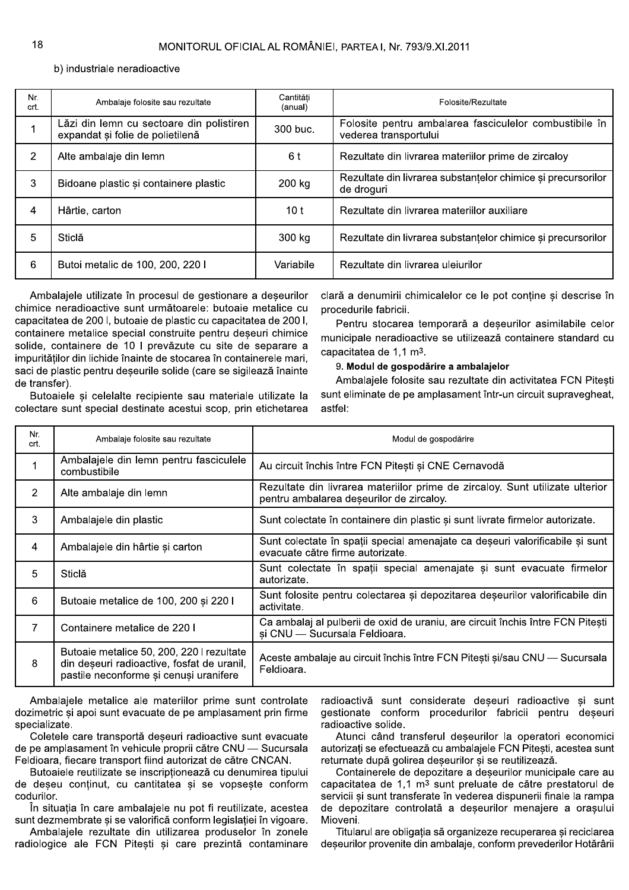b) industriale neradioactive

| Nr.<br>crt. | Ambalaje folosite sau rezultate                                              | Cantităti<br>(anual) | Folosite/Rezultate                                                              |
|-------------|------------------------------------------------------------------------------|----------------------|---------------------------------------------------------------------------------|
|             | Lăzi din lemn cu sectoare din polistiren<br>expandat și folie de polietilenă | 300 buc.             | Folosite pentru ambalarea fasciculelor combustibile în<br>vederea transportului |
| 2           | Alte ambalaje din lemn                                                       | 6 t                  | Rezultate din livrarea materiilor prime de zircaloy                             |
| 3           | Bidoane plastic și containere plastic                                        | 200 kg               | Rezultate din livrarea substantelor chimice și precursorilor<br>de droguri      |
| 4           | Hârtie, carton                                                               | 10 <sub>t</sub>      | Rezultate din livrarea materiilor auxiliare                                     |
| 5           | Sticlă                                                                       | 300 kg               | Rezultate din livrarea substantelor chimice și precursorilor                    |
| 6           | Butoi metalic de 100, 200, 220 l                                             | Variabile            | Rezultate din livrarea uleiurilor                                               |

Ambalajele utilizate în procesul de gestionare a deșeurilor chimice neradioactive sunt următoarele: butoaie metalice cu capacitatea de 2001, butoaie de plastic cu capacitatea de 2001. containere metalice special construite pentru deseuri chimice solide, containere de 10 l prevăzute cu site de separare a impurităților din lichide înainte de stocarea în containerele mari, saci de plastic pentru deseurile solide (care se sigilează înainte de transfer).

Butoaiele și celelalte recipiente sau materiale utilizate la colectare sunt special destinate acestui scop, prin etichetarea clară a denumirii chimicalelor ce le pot conține și descrise în procedurile fabricii.

Pentru stocarea temporară a deseurilor asimilabile celor municipale neradioactive se utilizează containere standard cu capacitatea de 1,1 m<sup>3</sup>.

9. Modul de gospodărire a ambalajelor

Ambalaiele folosite sau rezultate din activitatea FCN Pitesti sunt eliminate de pe amplasament într-un circuit supravegheat, astfel:

| Nr.<br>crt.    | Ambalaje folosite sau rezultate                                                                                                   | Modul de gospodărire                                                                                                     |
|----------------|-----------------------------------------------------------------------------------------------------------------------------------|--------------------------------------------------------------------------------------------------------------------------|
|                | Ambalajele din lemn pentru fasciculele<br>combustibile                                                                            | Au circuit închis între FCN Pitești și CNE Cernavodă                                                                     |
| $\overline{2}$ | Alte ambalaje din lemn                                                                                                            | Rezultate din livrarea materiilor prime de zircaloy. Sunt utilizate ulterior<br>pentru ambalarea deșeurilor de zircaloy. |
| 3              | Ambalajele din plastic                                                                                                            | Sunt colectate în containere din plastic și sunt livrate firmelor autorizate.                                            |
| 4              | Ambalajele din hârtie și carton                                                                                                   | Sunt colectate în spații special amenajate ca deșeuri valorificabile și sunt<br>evacuate către firme autorizate.         |
| 5              | Sticlă                                                                                                                            | Sunt colectate în spații special amenajate și sunt evacuate firmelor<br>autorizate.                                      |
| 6              | Butoaie metalice de 100, 200 și 220 l                                                                                             | Sunt folosite pentru colectarea și depozitarea deșeurilor valorificabile din<br>activitate.                              |
| $\overline{7}$ | Containere metalice de 220 l                                                                                                      | Ca ambalaj al pulberii de oxid de uraniu, are circuit închis între FCN Pitești<br>și CNU - Sucursala Feldioara.          |
| 8              | Butoaie metalice 50, 200, 220 l rezultate<br>din deșeuri radioactive, fosfat de uranil,<br>pastile neconforme și cenuși uranifere | Aceste ambalaje au circuit închis între FCN Pitești și/sau CNU - Sucursala<br>Feldioara.                                 |

Ambalaiele metalice ale materiilor prime sunt controlate dozimetric și apoi sunt evacuate de pe amplasament prin firme specializate.

Coletele care transportă deseuri radioactive sunt evacuate de pe amplasament în vehicule proprii către CNU — Sucursala Feldioara, fiecare transport fiind autorizat de către CNCAN.

Butoaiele reutilizate se inscriptionează cu denumirea tipului de deseu continut, cu cantitatea și se vopseste conform codurilor.

În situația în care ambalajele nu pot fi reutilizate, acestea sunt dezmembrate și se valorifică conform legislației în vigoare.

Ambalajele rezultate din utilizarea produselor în zonele radiologice ale FCN Pitești și care prezintă contaminare

radioactivă sunt considerate deseuri radioactive si sunt gestionate conform procedurilor fabricii pentru deșeuri radioactive solide.

Atunci când transferul deseurilor la operatori economici autorizati se efectuează cu ambalajele FCN Pitesti, acestea sunt returnate după golirea deseurilor si se reutilizează.

Containerele de depozitare a deseurilor municipale care au capacitatea de 1,1 m<sup>3</sup> sunt preluate de către prestatorul de servicii și sunt transferate în vederea dispunerii finale la rampa de depozitare controlată a deșeurilor menajere a orașului Mioveni.

Titularul are obligația să organizeze recuperarea și reciclarea deșeurilor provenite din ambalaje, conform prevederilor Hotărârii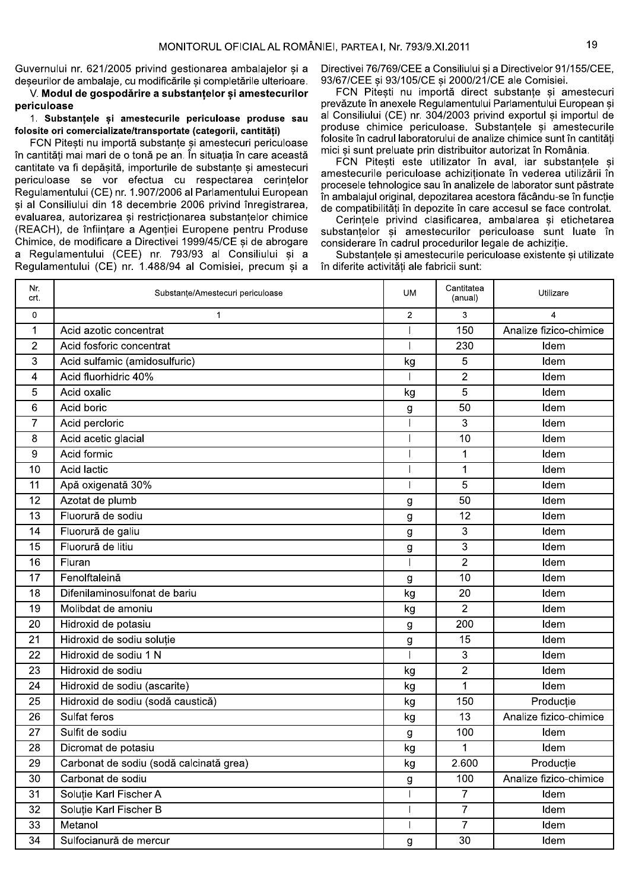Guvernului nr. 621/2005 privind gestionarea ambalaielor și a

MONITORUL OFICIAL AL ROMÂ<br>
Guvernului nr. 621/2005 privind gestionarea ambalajelor și a<br>
deșeurilor de ambalaje, cu modificările și completările ulterioare.<br>
V. **Modul de gospodărire a substanțelor și amestecurilor priculo** cantitate va fi depășită, importurile de substanțe și amestecuri periculoase se vor efectua cu respectarea cerintelor .<br>Regulamentului (CE) nr. 1.907/2006 al Parlamentului European si al Consiliului din 18 decembrie 2006 privind înregistrarea. evaluarea. autorizarea si restrictionarea substantelor chimice (REACH), de înfiintare a Agentiei Europene pentru Produse Chimice, de modificare a Directivei 1999/45/CE si de abrogare a Regulamentului (CEE) nr. 793/93 al Consiliului si a Regulamentului (CE) nr. 1.488/94 al Comisiei, precum și a

Directivei 76/769/CEE a Consiliului si a Directivelor 91/155/CEE. 93/67/CEE si 93/105/CE si 2000/21/CE ale Comisiei.

FCN Pitesti nu importă direct substante si amestecuri prevăzute în anexele Regulamentului Parlamentului European si al Consiliului (CE) nr. 304/2003 privind exportul si importul de produse chimice periculoase. Substantele si amestecurile folosite în cadrul laboratorului de analize chimice sunt în cantităti mici și sunt preluate prin distribuitor autorizat în România.

FCN Pitesti este utilizator în aval. iar substantele si amestecurile periculoase achizitionate în vederea utilizării în procesele tehnologice sau în analizele de laborator sunt păstrate în ambalajul original, depozitarea acestora făcându-se în funcție de compatibilităti în depozite în care accesul se face controlat.

Cerintele privind clasificarea, ambalarea si etichetarea substantelor și amestecurilor periculoase sunt luate în considerare în cadrul procedurilor legale de achizitie.

Substantele si amestecurile periculoase existente si utilizate în diferite activităti ale fabricii sunt:

| Nr.<br>crt.    | Substanțe/Amestecuri periculoase        | <b>UM</b>                | Cantitatea<br>(anual) | Utilizare              |
|----------------|-----------------------------------------|--------------------------|-----------------------|------------------------|
| $\mathbf 0$    | $\mathbf 1$                             | $\overline{2}$           | 3                     | 4                      |
| $\mathbf 1$    | Acid azotic concentrat                  |                          | 150                   | Analize fizico-chimice |
| $\overline{2}$ | Acid fosforic concentrat                |                          | 230                   | Idem                   |
| 3              | Acid sulfamic (amidosulfuric)           | kg                       | 5                     | Idem                   |
| 4              | Acid fluorhidric 40%                    |                          | $\overline{2}$        | Idem                   |
| $\overline{5}$ | Acid oxalic                             | kg                       | 5                     | Idem                   |
| 6              | Acid boric                              | $\boldsymbol{g}$         | 50                    | Idem                   |
| $\overline{7}$ | Acid percloric                          |                          | 3                     | Idem                   |
| 8              | Acid acetic glacial                     |                          | 10                    | Idem                   |
| 9              | Acid formic                             |                          | 1                     | Idem                   |
| 10             | Acid lactic                             |                          | 1                     | Idem                   |
| 11             | Apă oxigenată 30%                       |                          | 5                     | Idem                   |
| 12             | Azotat de plumb                         | g                        | 50                    | Idem                   |
| 13             | Fluorură de sodiu                       | $\mathbf{g}$             | 12                    | Idem                   |
| 14             | Fluorură de galiu                       | g                        | 3                     | Idem                   |
| 15             | Fluorură de litiu                       | $\boldsymbol{g}$         | 3                     | Idem                   |
| 16             | Fluran                                  |                          | $\overline{2}$        | Idem                   |
| 17             | Fenolftaleină                           | g                        | 10                    | Idem                   |
| 18             | Difenilaminosulfonat de bariu           | kg                       | 20                    | Idem                   |
| 19             | Molibdat de amoniu                      | kg                       | $\overline{2}$        | Idem                   |
| 20             | Hidroxid de potasiu                     | g                        | 200                   | Idem                   |
| 21             | Hidroxid de sodiu soluție               | $\mathbf{g}$             | 15                    | Idem                   |
| 22             | Hidroxid de sodiu 1 N                   |                          | 3                     | Idem                   |
| 23             | Hidroxid de sodiu                       | kg                       | $\overline{2}$        | Idem                   |
| 24             | Hidroxid de sodiu (ascarite)            | kg                       | $\mathbf 1$           | Idem                   |
| 25             | Hidroxid de sodiu (sodă caustică)       | kg                       | 150                   | Producție              |
| 26             | Sulfat feros                            | kg                       | 13                    | Analize fizico-chimice |
| 27             | Sulfit de sodiu                         | g                        | 100                   | Idem                   |
| 28             | Dicromat de potasiu                     | kg                       | 1                     | Idem                   |
| 29             | Carbonat de sodiu (sodă calcinată grea) | kg                       | 2.600                 | Producție              |
| 30             | Carbonat de sodiu                       | $\boldsymbol{g}$         | 100                   | Analize fizico-chimice |
| 31             | Soluție Karl Fischer A                  | $\overline{\phantom{a}}$ | $\overline{7}$        | Idem                   |
| 32             | Soluție Karl Fischer B                  |                          | $\overline{7}$        | Idem                   |
| 33             | Metanol                                 | $\overline{\phantom{a}}$ | $\overline{7}$        | Idem                   |
| 34             | Sulfocianură de mercur                  | g                        | 30                    | Idem                   |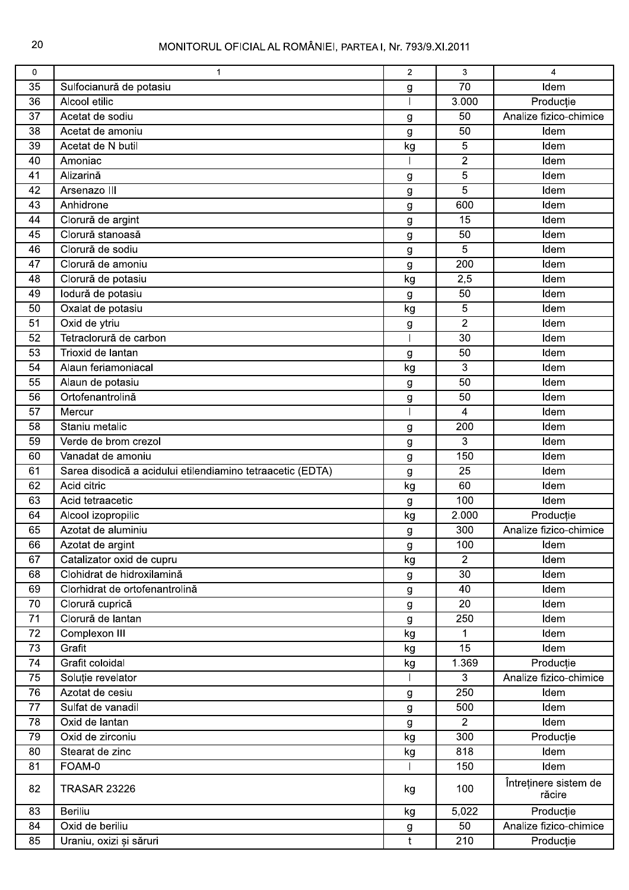| $\overline{70}$<br>35<br>Idem<br>Sulfocianură de potasiu<br>g<br>Alcool etilic<br>3.000<br>36<br>Producție<br>Acetat de sodiu<br>Analize fizico-chimice<br>37<br>50<br>g<br>Idem<br>38<br>Acetat de amoniu<br>50<br>g<br>Acetat de N butil<br>39<br>kg<br>5<br>Idem<br>$\overline{2}$<br>40<br>Amoniac<br>Idem<br>$\overline{5}$<br>Alizarină<br>41<br>Idem<br>g<br>Arsenazo III<br>5<br>42<br>Idem<br>g<br>Anhidrone<br>600<br>Idem<br>43<br>g<br>44<br>Clorură de argint<br>15<br>Idem<br>g<br>Clorură stanoasă<br>45<br>50<br>Idem<br>g<br>Clorură de sodiu<br>5<br>Idem<br>46<br>g<br>200<br>Clorură de amoniu<br>Idem<br>47<br>g<br>Clorură de potasiu<br>2,5<br>48<br>kg<br>Idem<br>lodură de potasiu<br>49<br>50<br>Idem<br>g<br>Oxalat de potasiu<br>5<br>50<br>kg<br>Idem<br>Oxid de ytriu<br>$\overline{2}$<br>51<br>Idem<br>g<br>52<br>Tetraclorură de carbon<br>$\overline{30}$<br>Idem<br>50<br>53<br>Trioxid de lantan<br>Idem<br>g<br>Alaun feriamoniacal<br>3<br>54<br>kg<br>Idem<br>Alaun de potasiu<br>55<br>50<br>Idem<br>g<br>Ortofenantrolină<br>50<br>56<br>Idem<br>g<br>57<br>Mercur<br>4<br>Idem<br>Staniu metalic<br>58<br>200<br>Idem<br>g<br>3<br>59<br>Verde de brom crezol<br>Idem<br>g<br>Vanadat de amoniu<br>150<br>60<br>Idem<br>g<br>Sarea disodică a acidului etilendiamino tetraacetic (EDTA)<br>25<br>Idem<br>61<br>g<br>Acid citric<br>60<br>62<br>kg<br>Idem<br>Acid tetraacetic<br>100<br>Idem<br>63<br>$\boldsymbol{g}$<br>2.000<br>64<br>Alcool izopropilic<br>Producție<br>kg<br>Analize fizico-chimice<br>Azotat de aluminiu<br>300<br>65<br>g<br>66<br>Azotat de argint<br>100<br>Idem<br>$\boldsymbol{g}$<br>$\overline{2}$<br>Catalizator oxid de cupru<br>67<br>kg<br>Idem<br>Clohidrat de hidroxilamină<br>30<br>Idem<br>68<br>g<br>Clorhidrat de ortofenantrolină<br>40<br>Idem<br>69<br>g<br>$\overline{20}$<br>70<br>Clorură cuprică<br>Idem<br>$\boldsymbol{g}$<br>Clorură de lantan<br>71<br>250<br>Idem<br>$\mathsf g$<br>72<br>Complexon III<br>Idem<br>kg<br>1<br>73<br>Grafit<br>$\overline{15}$<br>Idem<br>kg<br>Grafit coloidal<br>1.369<br>74<br>Producție<br>kg<br>Analize fizico-chimice<br>75<br>Soluție revelator<br>3<br>76<br>250<br>Azotat de cesiu<br>Idem<br>$\mathsf g$<br>Sulfat de vanadil<br>77<br>500<br>Idem<br>$\boldsymbol{g}$<br>Oxid de lantan<br>$\overline{2}$<br>Idem<br>78<br>$\mathsf g$<br>79<br>300<br>Oxid de zirconiu<br>Producție<br>kg<br>80<br>Stearat de zinc<br>818<br>Idem<br>kg<br>FOAM-0<br>150<br>Idem<br>81<br>Întreținere sistem de<br>82<br><b>TRASAR 23226</b><br>100<br>kg<br>răcire<br><b>Beriliu</b><br>5,022<br>Producție<br>83<br>kg<br>Analize fizico-chimice<br>Oxid de beriliu<br>50<br>84<br>$\boldsymbol{g}$<br>$\mathfrak t$<br>210<br>85<br>Uraniu, oxizi și săruri<br>Producție | 0 | $\mathbf 1$ | $\overline{2}$ | 3 | $\overline{4}$ |
|----------------------------------------------------------------------------------------------------------------------------------------------------------------------------------------------------------------------------------------------------------------------------------------------------------------------------------------------------------------------------------------------------------------------------------------------------------------------------------------------------------------------------------------------------------------------------------------------------------------------------------------------------------------------------------------------------------------------------------------------------------------------------------------------------------------------------------------------------------------------------------------------------------------------------------------------------------------------------------------------------------------------------------------------------------------------------------------------------------------------------------------------------------------------------------------------------------------------------------------------------------------------------------------------------------------------------------------------------------------------------------------------------------------------------------------------------------------------------------------------------------------------------------------------------------------------------------------------------------------------------------------------------------------------------------------------------------------------------------------------------------------------------------------------------------------------------------------------------------------------------------------------------------------------------------------------------------------------------------------------------------------------------------------------------------------------------------------------------------------------------------------------------------------------------------------------------------------------------------------------------------------------------------------------------------------------------------------------------------------------------------------------------------------------------------------------------------------------------------------------------------------------------------------------------------------------------------------------------------------------------------------------------------------------------------------------------------------------------------------------------------------------------------------------------|---|-------------|----------------|---|----------------|
|                                                                                                                                                                                                                                                                                                                                                                                                                                                                                                                                                                                                                                                                                                                                                                                                                                                                                                                                                                                                                                                                                                                                                                                                                                                                                                                                                                                                                                                                                                                                                                                                                                                                                                                                                                                                                                                                                                                                                                                                                                                                                                                                                                                                                                                                                                                                                                                                                                                                                                                                                                                                                                                                                                                                                                                                    |   |             |                |   |                |
|                                                                                                                                                                                                                                                                                                                                                                                                                                                                                                                                                                                                                                                                                                                                                                                                                                                                                                                                                                                                                                                                                                                                                                                                                                                                                                                                                                                                                                                                                                                                                                                                                                                                                                                                                                                                                                                                                                                                                                                                                                                                                                                                                                                                                                                                                                                                                                                                                                                                                                                                                                                                                                                                                                                                                                                                    |   |             |                |   |                |
|                                                                                                                                                                                                                                                                                                                                                                                                                                                                                                                                                                                                                                                                                                                                                                                                                                                                                                                                                                                                                                                                                                                                                                                                                                                                                                                                                                                                                                                                                                                                                                                                                                                                                                                                                                                                                                                                                                                                                                                                                                                                                                                                                                                                                                                                                                                                                                                                                                                                                                                                                                                                                                                                                                                                                                                                    |   |             |                |   |                |
|                                                                                                                                                                                                                                                                                                                                                                                                                                                                                                                                                                                                                                                                                                                                                                                                                                                                                                                                                                                                                                                                                                                                                                                                                                                                                                                                                                                                                                                                                                                                                                                                                                                                                                                                                                                                                                                                                                                                                                                                                                                                                                                                                                                                                                                                                                                                                                                                                                                                                                                                                                                                                                                                                                                                                                                                    |   |             |                |   |                |
|                                                                                                                                                                                                                                                                                                                                                                                                                                                                                                                                                                                                                                                                                                                                                                                                                                                                                                                                                                                                                                                                                                                                                                                                                                                                                                                                                                                                                                                                                                                                                                                                                                                                                                                                                                                                                                                                                                                                                                                                                                                                                                                                                                                                                                                                                                                                                                                                                                                                                                                                                                                                                                                                                                                                                                                                    |   |             |                |   |                |
|                                                                                                                                                                                                                                                                                                                                                                                                                                                                                                                                                                                                                                                                                                                                                                                                                                                                                                                                                                                                                                                                                                                                                                                                                                                                                                                                                                                                                                                                                                                                                                                                                                                                                                                                                                                                                                                                                                                                                                                                                                                                                                                                                                                                                                                                                                                                                                                                                                                                                                                                                                                                                                                                                                                                                                                                    |   |             |                |   |                |
|                                                                                                                                                                                                                                                                                                                                                                                                                                                                                                                                                                                                                                                                                                                                                                                                                                                                                                                                                                                                                                                                                                                                                                                                                                                                                                                                                                                                                                                                                                                                                                                                                                                                                                                                                                                                                                                                                                                                                                                                                                                                                                                                                                                                                                                                                                                                                                                                                                                                                                                                                                                                                                                                                                                                                                                                    |   |             |                |   |                |
|                                                                                                                                                                                                                                                                                                                                                                                                                                                                                                                                                                                                                                                                                                                                                                                                                                                                                                                                                                                                                                                                                                                                                                                                                                                                                                                                                                                                                                                                                                                                                                                                                                                                                                                                                                                                                                                                                                                                                                                                                                                                                                                                                                                                                                                                                                                                                                                                                                                                                                                                                                                                                                                                                                                                                                                                    |   |             |                |   |                |
|                                                                                                                                                                                                                                                                                                                                                                                                                                                                                                                                                                                                                                                                                                                                                                                                                                                                                                                                                                                                                                                                                                                                                                                                                                                                                                                                                                                                                                                                                                                                                                                                                                                                                                                                                                                                                                                                                                                                                                                                                                                                                                                                                                                                                                                                                                                                                                                                                                                                                                                                                                                                                                                                                                                                                                                                    |   |             |                |   |                |
|                                                                                                                                                                                                                                                                                                                                                                                                                                                                                                                                                                                                                                                                                                                                                                                                                                                                                                                                                                                                                                                                                                                                                                                                                                                                                                                                                                                                                                                                                                                                                                                                                                                                                                                                                                                                                                                                                                                                                                                                                                                                                                                                                                                                                                                                                                                                                                                                                                                                                                                                                                                                                                                                                                                                                                                                    |   |             |                |   |                |
|                                                                                                                                                                                                                                                                                                                                                                                                                                                                                                                                                                                                                                                                                                                                                                                                                                                                                                                                                                                                                                                                                                                                                                                                                                                                                                                                                                                                                                                                                                                                                                                                                                                                                                                                                                                                                                                                                                                                                                                                                                                                                                                                                                                                                                                                                                                                                                                                                                                                                                                                                                                                                                                                                                                                                                                                    |   |             |                |   |                |
|                                                                                                                                                                                                                                                                                                                                                                                                                                                                                                                                                                                                                                                                                                                                                                                                                                                                                                                                                                                                                                                                                                                                                                                                                                                                                                                                                                                                                                                                                                                                                                                                                                                                                                                                                                                                                                                                                                                                                                                                                                                                                                                                                                                                                                                                                                                                                                                                                                                                                                                                                                                                                                                                                                                                                                                                    |   |             |                |   |                |
|                                                                                                                                                                                                                                                                                                                                                                                                                                                                                                                                                                                                                                                                                                                                                                                                                                                                                                                                                                                                                                                                                                                                                                                                                                                                                                                                                                                                                                                                                                                                                                                                                                                                                                                                                                                                                                                                                                                                                                                                                                                                                                                                                                                                                                                                                                                                                                                                                                                                                                                                                                                                                                                                                                                                                                                                    |   |             |                |   |                |
|                                                                                                                                                                                                                                                                                                                                                                                                                                                                                                                                                                                                                                                                                                                                                                                                                                                                                                                                                                                                                                                                                                                                                                                                                                                                                                                                                                                                                                                                                                                                                                                                                                                                                                                                                                                                                                                                                                                                                                                                                                                                                                                                                                                                                                                                                                                                                                                                                                                                                                                                                                                                                                                                                                                                                                                                    |   |             |                |   |                |
|                                                                                                                                                                                                                                                                                                                                                                                                                                                                                                                                                                                                                                                                                                                                                                                                                                                                                                                                                                                                                                                                                                                                                                                                                                                                                                                                                                                                                                                                                                                                                                                                                                                                                                                                                                                                                                                                                                                                                                                                                                                                                                                                                                                                                                                                                                                                                                                                                                                                                                                                                                                                                                                                                                                                                                                                    |   |             |                |   |                |
|                                                                                                                                                                                                                                                                                                                                                                                                                                                                                                                                                                                                                                                                                                                                                                                                                                                                                                                                                                                                                                                                                                                                                                                                                                                                                                                                                                                                                                                                                                                                                                                                                                                                                                                                                                                                                                                                                                                                                                                                                                                                                                                                                                                                                                                                                                                                                                                                                                                                                                                                                                                                                                                                                                                                                                                                    |   |             |                |   |                |
|                                                                                                                                                                                                                                                                                                                                                                                                                                                                                                                                                                                                                                                                                                                                                                                                                                                                                                                                                                                                                                                                                                                                                                                                                                                                                                                                                                                                                                                                                                                                                                                                                                                                                                                                                                                                                                                                                                                                                                                                                                                                                                                                                                                                                                                                                                                                                                                                                                                                                                                                                                                                                                                                                                                                                                                                    |   |             |                |   |                |
|                                                                                                                                                                                                                                                                                                                                                                                                                                                                                                                                                                                                                                                                                                                                                                                                                                                                                                                                                                                                                                                                                                                                                                                                                                                                                                                                                                                                                                                                                                                                                                                                                                                                                                                                                                                                                                                                                                                                                                                                                                                                                                                                                                                                                                                                                                                                                                                                                                                                                                                                                                                                                                                                                                                                                                                                    |   |             |                |   |                |
|                                                                                                                                                                                                                                                                                                                                                                                                                                                                                                                                                                                                                                                                                                                                                                                                                                                                                                                                                                                                                                                                                                                                                                                                                                                                                                                                                                                                                                                                                                                                                                                                                                                                                                                                                                                                                                                                                                                                                                                                                                                                                                                                                                                                                                                                                                                                                                                                                                                                                                                                                                                                                                                                                                                                                                                                    |   |             |                |   |                |
|                                                                                                                                                                                                                                                                                                                                                                                                                                                                                                                                                                                                                                                                                                                                                                                                                                                                                                                                                                                                                                                                                                                                                                                                                                                                                                                                                                                                                                                                                                                                                                                                                                                                                                                                                                                                                                                                                                                                                                                                                                                                                                                                                                                                                                                                                                                                                                                                                                                                                                                                                                                                                                                                                                                                                                                                    |   |             |                |   |                |
|                                                                                                                                                                                                                                                                                                                                                                                                                                                                                                                                                                                                                                                                                                                                                                                                                                                                                                                                                                                                                                                                                                                                                                                                                                                                                                                                                                                                                                                                                                                                                                                                                                                                                                                                                                                                                                                                                                                                                                                                                                                                                                                                                                                                                                                                                                                                                                                                                                                                                                                                                                                                                                                                                                                                                                                                    |   |             |                |   |                |
|                                                                                                                                                                                                                                                                                                                                                                                                                                                                                                                                                                                                                                                                                                                                                                                                                                                                                                                                                                                                                                                                                                                                                                                                                                                                                                                                                                                                                                                                                                                                                                                                                                                                                                                                                                                                                                                                                                                                                                                                                                                                                                                                                                                                                                                                                                                                                                                                                                                                                                                                                                                                                                                                                                                                                                                                    |   |             |                |   |                |
|                                                                                                                                                                                                                                                                                                                                                                                                                                                                                                                                                                                                                                                                                                                                                                                                                                                                                                                                                                                                                                                                                                                                                                                                                                                                                                                                                                                                                                                                                                                                                                                                                                                                                                                                                                                                                                                                                                                                                                                                                                                                                                                                                                                                                                                                                                                                                                                                                                                                                                                                                                                                                                                                                                                                                                                                    |   |             |                |   |                |
|                                                                                                                                                                                                                                                                                                                                                                                                                                                                                                                                                                                                                                                                                                                                                                                                                                                                                                                                                                                                                                                                                                                                                                                                                                                                                                                                                                                                                                                                                                                                                                                                                                                                                                                                                                                                                                                                                                                                                                                                                                                                                                                                                                                                                                                                                                                                                                                                                                                                                                                                                                                                                                                                                                                                                                                                    |   |             |                |   |                |
|                                                                                                                                                                                                                                                                                                                                                                                                                                                                                                                                                                                                                                                                                                                                                                                                                                                                                                                                                                                                                                                                                                                                                                                                                                                                                                                                                                                                                                                                                                                                                                                                                                                                                                                                                                                                                                                                                                                                                                                                                                                                                                                                                                                                                                                                                                                                                                                                                                                                                                                                                                                                                                                                                                                                                                                                    |   |             |                |   |                |
|                                                                                                                                                                                                                                                                                                                                                                                                                                                                                                                                                                                                                                                                                                                                                                                                                                                                                                                                                                                                                                                                                                                                                                                                                                                                                                                                                                                                                                                                                                                                                                                                                                                                                                                                                                                                                                                                                                                                                                                                                                                                                                                                                                                                                                                                                                                                                                                                                                                                                                                                                                                                                                                                                                                                                                                                    |   |             |                |   |                |
|                                                                                                                                                                                                                                                                                                                                                                                                                                                                                                                                                                                                                                                                                                                                                                                                                                                                                                                                                                                                                                                                                                                                                                                                                                                                                                                                                                                                                                                                                                                                                                                                                                                                                                                                                                                                                                                                                                                                                                                                                                                                                                                                                                                                                                                                                                                                                                                                                                                                                                                                                                                                                                                                                                                                                                                                    |   |             |                |   |                |
|                                                                                                                                                                                                                                                                                                                                                                                                                                                                                                                                                                                                                                                                                                                                                                                                                                                                                                                                                                                                                                                                                                                                                                                                                                                                                                                                                                                                                                                                                                                                                                                                                                                                                                                                                                                                                                                                                                                                                                                                                                                                                                                                                                                                                                                                                                                                                                                                                                                                                                                                                                                                                                                                                                                                                                                                    |   |             |                |   |                |
|                                                                                                                                                                                                                                                                                                                                                                                                                                                                                                                                                                                                                                                                                                                                                                                                                                                                                                                                                                                                                                                                                                                                                                                                                                                                                                                                                                                                                                                                                                                                                                                                                                                                                                                                                                                                                                                                                                                                                                                                                                                                                                                                                                                                                                                                                                                                                                                                                                                                                                                                                                                                                                                                                                                                                                                                    |   |             |                |   |                |
|                                                                                                                                                                                                                                                                                                                                                                                                                                                                                                                                                                                                                                                                                                                                                                                                                                                                                                                                                                                                                                                                                                                                                                                                                                                                                                                                                                                                                                                                                                                                                                                                                                                                                                                                                                                                                                                                                                                                                                                                                                                                                                                                                                                                                                                                                                                                                                                                                                                                                                                                                                                                                                                                                                                                                                                                    |   |             |                |   |                |
|                                                                                                                                                                                                                                                                                                                                                                                                                                                                                                                                                                                                                                                                                                                                                                                                                                                                                                                                                                                                                                                                                                                                                                                                                                                                                                                                                                                                                                                                                                                                                                                                                                                                                                                                                                                                                                                                                                                                                                                                                                                                                                                                                                                                                                                                                                                                                                                                                                                                                                                                                                                                                                                                                                                                                                                                    |   |             |                |   |                |
|                                                                                                                                                                                                                                                                                                                                                                                                                                                                                                                                                                                                                                                                                                                                                                                                                                                                                                                                                                                                                                                                                                                                                                                                                                                                                                                                                                                                                                                                                                                                                                                                                                                                                                                                                                                                                                                                                                                                                                                                                                                                                                                                                                                                                                                                                                                                                                                                                                                                                                                                                                                                                                                                                                                                                                                                    |   |             |                |   |                |
|                                                                                                                                                                                                                                                                                                                                                                                                                                                                                                                                                                                                                                                                                                                                                                                                                                                                                                                                                                                                                                                                                                                                                                                                                                                                                                                                                                                                                                                                                                                                                                                                                                                                                                                                                                                                                                                                                                                                                                                                                                                                                                                                                                                                                                                                                                                                                                                                                                                                                                                                                                                                                                                                                                                                                                                                    |   |             |                |   |                |
|                                                                                                                                                                                                                                                                                                                                                                                                                                                                                                                                                                                                                                                                                                                                                                                                                                                                                                                                                                                                                                                                                                                                                                                                                                                                                                                                                                                                                                                                                                                                                                                                                                                                                                                                                                                                                                                                                                                                                                                                                                                                                                                                                                                                                                                                                                                                                                                                                                                                                                                                                                                                                                                                                                                                                                                                    |   |             |                |   |                |
|                                                                                                                                                                                                                                                                                                                                                                                                                                                                                                                                                                                                                                                                                                                                                                                                                                                                                                                                                                                                                                                                                                                                                                                                                                                                                                                                                                                                                                                                                                                                                                                                                                                                                                                                                                                                                                                                                                                                                                                                                                                                                                                                                                                                                                                                                                                                                                                                                                                                                                                                                                                                                                                                                                                                                                                                    |   |             |                |   |                |
|                                                                                                                                                                                                                                                                                                                                                                                                                                                                                                                                                                                                                                                                                                                                                                                                                                                                                                                                                                                                                                                                                                                                                                                                                                                                                                                                                                                                                                                                                                                                                                                                                                                                                                                                                                                                                                                                                                                                                                                                                                                                                                                                                                                                                                                                                                                                                                                                                                                                                                                                                                                                                                                                                                                                                                                                    |   |             |                |   |                |
|                                                                                                                                                                                                                                                                                                                                                                                                                                                                                                                                                                                                                                                                                                                                                                                                                                                                                                                                                                                                                                                                                                                                                                                                                                                                                                                                                                                                                                                                                                                                                                                                                                                                                                                                                                                                                                                                                                                                                                                                                                                                                                                                                                                                                                                                                                                                                                                                                                                                                                                                                                                                                                                                                                                                                                                                    |   |             |                |   |                |
|                                                                                                                                                                                                                                                                                                                                                                                                                                                                                                                                                                                                                                                                                                                                                                                                                                                                                                                                                                                                                                                                                                                                                                                                                                                                                                                                                                                                                                                                                                                                                                                                                                                                                                                                                                                                                                                                                                                                                                                                                                                                                                                                                                                                                                                                                                                                                                                                                                                                                                                                                                                                                                                                                                                                                                                                    |   |             |                |   |                |
|                                                                                                                                                                                                                                                                                                                                                                                                                                                                                                                                                                                                                                                                                                                                                                                                                                                                                                                                                                                                                                                                                                                                                                                                                                                                                                                                                                                                                                                                                                                                                                                                                                                                                                                                                                                                                                                                                                                                                                                                                                                                                                                                                                                                                                                                                                                                                                                                                                                                                                                                                                                                                                                                                                                                                                                                    |   |             |                |   |                |
|                                                                                                                                                                                                                                                                                                                                                                                                                                                                                                                                                                                                                                                                                                                                                                                                                                                                                                                                                                                                                                                                                                                                                                                                                                                                                                                                                                                                                                                                                                                                                                                                                                                                                                                                                                                                                                                                                                                                                                                                                                                                                                                                                                                                                                                                                                                                                                                                                                                                                                                                                                                                                                                                                                                                                                                                    |   |             |                |   |                |
|                                                                                                                                                                                                                                                                                                                                                                                                                                                                                                                                                                                                                                                                                                                                                                                                                                                                                                                                                                                                                                                                                                                                                                                                                                                                                                                                                                                                                                                                                                                                                                                                                                                                                                                                                                                                                                                                                                                                                                                                                                                                                                                                                                                                                                                                                                                                                                                                                                                                                                                                                                                                                                                                                                                                                                                                    |   |             |                |   |                |
|                                                                                                                                                                                                                                                                                                                                                                                                                                                                                                                                                                                                                                                                                                                                                                                                                                                                                                                                                                                                                                                                                                                                                                                                                                                                                                                                                                                                                                                                                                                                                                                                                                                                                                                                                                                                                                                                                                                                                                                                                                                                                                                                                                                                                                                                                                                                                                                                                                                                                                                                                                                                                                                                                                                                                                                                    |   |             |                |   |                |
|                                                                                                                                                                                                                                                                                                                                                                                                                                                                                                                                                                                                                                                                                                                                                                                                                                                                                                                                                                                                                                                                                                                                                                                                                                                                                                                                                                                                                                                                                                                                                                                                                                                                                                                                                                                                                                                                                                                                                                                                                                                                                                                                                                                                                                                                                                                                                                                                                                                                                                                                                                                                                                                                                                                                                                                                    |   |             |                |   |                |
|                                                                                                                                                                                                                                                                                                                                                                                                                                                                                                                                                                                                                                                                                                                                                                                                                                                                                                                                                                                                                                                                                                                                                                                                                                                                                                                                                                                                                                                                                                                                                                                                                                                                                                                                                                                                                                                                                                                                                                                                                                                                                                                                                                                                                                                                                                                                                                                                                                                                                                                                                                                                                                                                                                                                                                                                    |   |             |                |   |                |
|                                                                                                                                                                                                                                                                                                                                                                                                                                                                                                                                                                                                                                                                                                                                                                                                                                                                                                                                                                                                                                                                                                                                                                                                                                                                                                                                                                                                                                                                                                                                                                                                                                                                                                                                                                                                                                                                                                                                                                                                                                                                                                                                                                                                                                                                                                                                                                                                                                                                                                                                                                                                                                                                                                                                                                                                    |   |             |                |   |                |
|                                                                                                                                                                                                                                                                                                                                                                                                                                                                                                                                                                                                                                                                                                                                                                                                                                                                                                                                                                                                                                                                                                                                                                                                                                                                                                                                                                                                                                                                                                                                                                                                                                                                                                                                                                                                                                                                                                                                                                                                                                                                                                                                                                                                                                                                                                                                                                                                                                                                                                                                                                                                                                                                                                                                                                                                    |   |             |                |   |                |
|                                                                                                                                                                                                                                                                                                                                                                                                                                                                                                                                                                                                                                                                                                                                                                                                                                                                                                                                                                                                                                                                                                                                                                                                                                                                                                                                                                                                                                                                                                                                                                                                                                                                                                                                                                                                                                                                                                                                                                                                                                                                                                                                                                                                                                                                                                                                                                                                                                                                                                                                                                                                                                                                                                                                                                                                    |   |             |                |   |                |
|                                                                                                                                                                                                                                                                                                                                                                                                                                                                                                                                                                                                                                                                                                                                                                                                                                                                                                                                                                                                                                                                                                                                                                                                                                                                                                                                                                                                                                                                                                                                                                                                                                                                                                                                                                                                                                                                                                                                                                                                                                                                                                                                                                                                                                                                                                                                                                                                                                                                                                                                                                                                                                                                                                                                                                                                    |   |             |                |   |                |
|                                                                                                                                                                                                                                                                                                                                                                                                                                                                                                                                                                                                                                                                                                                                                                                                                                                                                                                                                                                                                                                                                                                                                                                                                                                                                                                                                                                                                                                                                                                                                                                                                                                                                                                                                                                                                                                                                                                                                                                                                                                                                                                                                                                                                                                                                                                                                                                                                                                                                                                                                                                                                                                                                                                                                                                                    |   |             |                |   |                |
|                                                                                                                                                                                                                                                                                                                                                                                                                                                                                                                                                                                                                                                                                                                                                                                                                                                                                                                                                                                                                                                                                                                                                                                                                                                                                                                                                                                                                                                                                                                                                                                                                                                                                                                                                                                                                                                                                                                                                                                                                                                                                                                                                                                                                                                                                                                                                                                                                                                                                                                                                                                                                                                                                                                                                                                                    |   |             |                |   |                |
|                                                                                                                                                                                                                                                                                                                                                                                                                                                                                                                                                                                                                                                                                                                                                                                                                                                                                                                                                                                                                                                                                                                                                                                                                                                                                                                                                                                                                                                                                                                                                                                                                                                                                                                                                                                                                                                                                                                                                                                                                                                                                                                                                                                                                                                                                                                                                                                                                                                                                                                                                                                                                                                                                                                                                                                                    |   |             |                |   |                |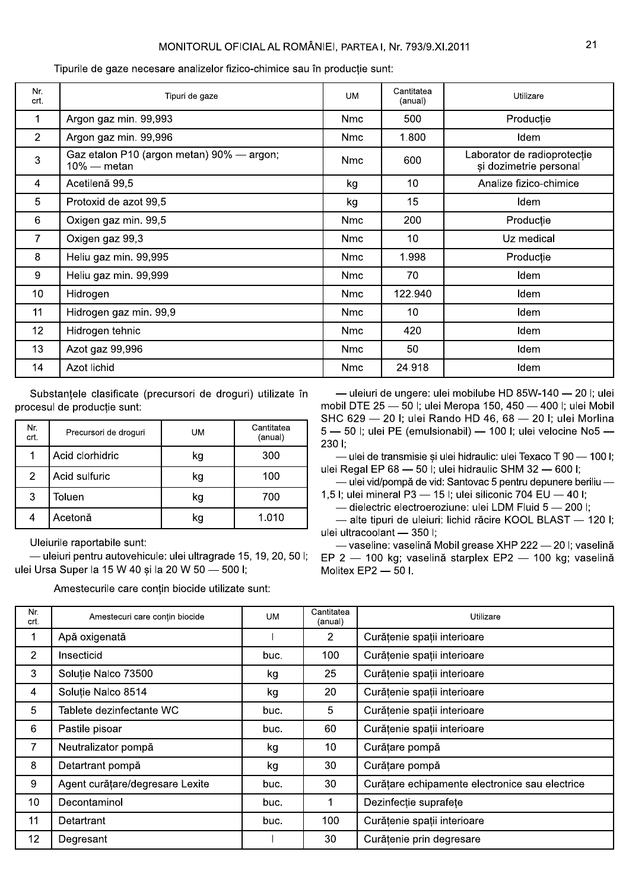# MONITORUL OFICIAL AL ROMÂNIEI, PARTEA I, Nr. 793/9.XI.2011

Cantitatea Nr. Tipuri de gaze **UM** Utilizare (anual) crt.  $\mathbf{1}$ Argon gaz min. 99,993 **Nmc** 500 Producție  $\overline{2}$ Argon gaz min. 99,996 1.800 **Nmc** Idem Gaz etalon P10 (argon metan) 90% - argon; Laborator de radioprotectie 3 **Nmc** 600  $10\%$  — metan și dozimetrie personal Acetilenă 99.5 Analize fizico-chimice  $\overline{4}$  $10$ kq 5 15 Protoxid de azot 99,5 kg Idem  $6\phantom{a}$ Oxigen gaz min. 99,5 **Nmc** 200 Producție  $\overline{7}$ Oxigen gaz 99,3 **Nmc**  $10$ Uz medical 1.998 Productie  $\boldsymbol{8}$ Heliu gaz min. 99,995 **Nmc** 9 70 Heliu gaz min. 99,999 Idem **Nmc**  $10$ Hidrogen **Nmc** 122.940 Idem  $11$ Hidrogen gaz min. 99,9 **Nmc**  $10$ Idem  $12$ Hidrogen tehnic **Nmc** 420 Idem  $13$ Azot gaz 99,996 **Nmc** 50 Idem  $14$ **Azot lichid Nmc** 24.918 Idem

Tipurile de gaze necesare analizelor fizico-chimice sau în productie sunt:

Substanțele clasificate (precursori de droguri) utilizate în procesul de productie sunt:

| Nr.<br>crt. | Precursori de droguri | UM | Cantitatea<br>(anual) |
|-------------|-----------------------|----|-----------------------|
| 1           | Acid clorhidric       | kg | 300                   |
| 2           | Acid sulfuric         | kg | 100                   |
| 3           | Toluen                | kg | 700                   |
|             | Acetonă               | kg | 1.010                 |

Uleiurile raportabile sunt:

- uleiuri pentru autovehicule: ulei ultragrade 15, 19, 20, 50 l; ulei Ursa Super la 15 W 40 și la 20 W 50 - 500 l;

Amestecurile care contin biocide utilizate sunt:

-uleiuri de ungere: ulei mobilube HD 85W-140 - 20 l; ulei mobil DTE 25 - 50 I; ulei Meropa 150, 450 - 400 I; ulei Mobil SHC 629 - 20 I: ulei Rando HD 46, 68 - 20 I: ulei Morlina 5 - 50 l; ulei PE (emulsionabil) - 100 l; ulei velocine No5 -230 l;

- ulei de transmisie și ulei hidraulic: ulei Texaco T 90 - 100 l; ulei Regal EP 68 - 50 l; ulei hidraulic SHM 32 - 600 l;

- ulei vid/pompă de vid: Santovac 5 pentru depunere beriliu -1,5 l; ulei mineral P3 - 15 l; ulei siliconic 704 EU - 40 l;

- dielectric electroeroziune: ulei LDM Fluid 5 - 200 l;

- alte tipuri de uleiuri: lichid răcire KOOL BLAST - 120 l: ulei ultracoolant - 350 l;

— vaseline: vaselină Mobil grease XHP 222 — 20 I; vaselină EP 2 - 100 kg; vaselină starplex EP2 - 100 kg; vaselină Molitex EP2 - 50 I.

| Nr.<br>crt.     | Amestecuri care contin biocide  | <b>UM</b> | Cantitatea<br>(anual) | Utilizare                                      |
|-----------------|---------------------------------|-----------|-----------------------|------------------------------------------------|
|                 | Apă oxigenată                   |           | 2                     | Curățenie spații interioare                    |
| $\overline{2}$  | Insecticid                      | buc.      | 100                   | Curățenie spații interioare                    |
| 3               | Soluție Nalco 73500             | kg        | 25                    | Curățenie spații interioare                    |
| 4               | Soluție Nalco 8514              | kg        | 20                    | Curățenie spații interioare                    |
| 5               | Tablete dezinfectante WC        | buc.      | 5                     | Curățenie spații interioare                    |
| 6               | Pastile pisoar                  | buc.      | 60                    | Curățenie spații interioare                    |
| $\overline{7}$  | Neutralizator pompă             | kg        | 10                    | Curățare pompă                                 |
| 8               | Detartrant pompă                | kg        | 30                    | Curățare pompă                                 |
| 9               | Agent curățare/degresare Lexite | buc.      | 30                    | Curățare echipamente electronice sau electrice |
| 10              | Decontaminol                    | buc.      |                       | Dezinfecție suprafețe                          |
| 11              | Detartrant                      | buc.      | 100                   | Curățenie spații interioare                    |
| 12 <sub>2</sub> | Degresant                       |           | 30                    | Curățenie prin degresare                       |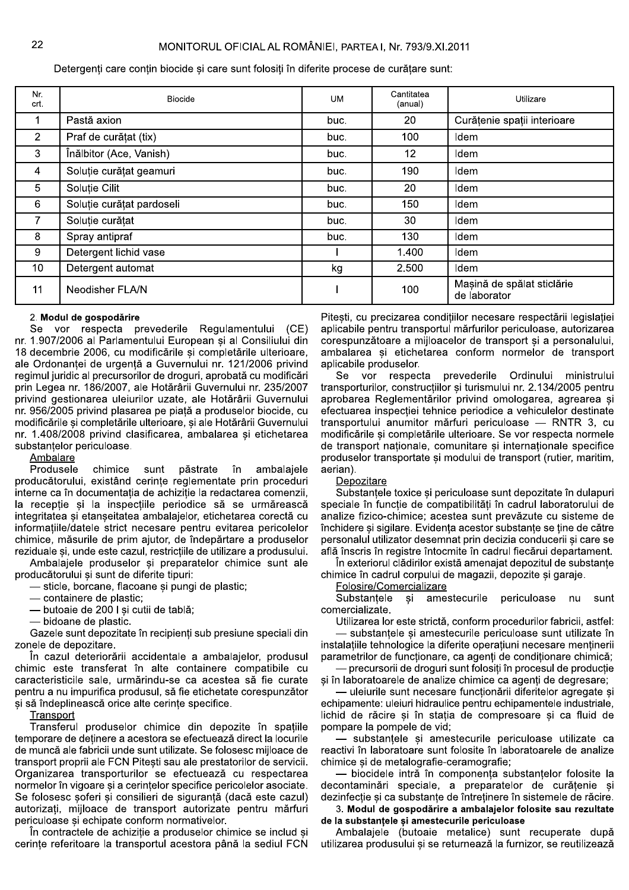Detergenti care contin biocide si care sunt folositi în diferite procese de curătare sunt:

| Nr.<br>crt.     | <b>Biocide</b>            | <b>UM</b> | Cantitatea<br>(anual) | Utilizare                                  |
|-----------------|---------------------------|-----------|-----------------------|--------------------------------------------|
| 1               | Pastă axion               | buc.      | 20                    | Curățenie spații interioare                |
| $\overline{2}$  | Praf de curățat (tix)     | buc.      | 100                   | Idem                                       |
| 3               | Înălbitor (Ace, Vanish)   | buc.      | 12 <sub>2</sub>       | Idem                                       |
| $\overline{4}$  | Soluție curățat geamuri   | buc.      | 190                   | Idem                                       |
| 5               | Soluție Cilit             | buc.      | 20                    | Idem                                       |
| 6               | Soluție curățat pardoseli | buc.      | 150                   | Idem                                       |
| 7               | Soluție curățat           | buc.      | 30                    | Idem                                       |
| 8               | Spray antipraf            | buc.      | 130                   | Idem                                       |
| 9               | Detergent lichid vase     |           | 1.400                 | Idem                                       |
| 10 <sup>°</sup> | Detergent automat         | kg        | 2.500                 | Idem                                       |
| 11              | Neodisher FLA/N           |           | 100                   | Mașină de spălat sticlărie<br>de laborator |

#### 2. Modul de gospodărire

Se vor respecta prevederile Regulamentului (CE) nr. 1.907/2006 al Parlamentului European și al Consiliului din 18 decembrie 2006, cu modificările și completările ulterioare, ale Ordonanței de urgență a Guvernului nr. 121/2006 privind regimul juridic al precursorilor de droguri, aprobată cu modificări prin Legea nr. 186/2007, ale Hotărârii Guvernului nr. 235/2007 privind gestionarea uleiurilor uzate, ale Hotărârii Guvernului nr. 956/2005 privind plasarea pe piață a produselor biocide, cu modificările și completările ulterioare, și ale Hotărârii Guvernului nr. 1.408/2008 privind clasificarea, ambalarea și etichetarea substantelor periculoase.

# Ambalare

Produsele chimice sunt păstrate în ambalajele producătorului, existând cerinte reglementate prin proceduri interne ca în documentatia de achizitie la redactarea comenzii, la recepție și la inspecțiile periodice să se urmărească integritatea si etanseitatea ambalaielor, etichetarea corectă cu informatiile/datele strict necesare pentru evitarea pericolelor chimice, măsurile de prim ajutor, de îndepărtare a produselor reziduale și, unde este cazul, restricțiile de utilizare a produsului.

Ambalajele produselor si preparatelor chimice sunt ale producătorului și sunt de diferite tipuri:

- sticle, borcane, flacoane și pungi de plastic;

- containere de plastic;

- butoaie de 200 I si cutii de tablă;

- bidoane de plastic.

Gazele sunt depozitate în recipienți sub presiune speciali din zonele de depozitare.

În cazul deteriorării accidentale a ambalajelor, produsul chimic este transferat în alte containere compatibile cu caracteristicile sale, urmărindu-se ca acestea să fie curate pentru a nu impurifica produsul, să fie etichetate corespunzător si să îndeplinească orice alte cerinte specifice.

Transport

Transferul produselor chimice din depozite în spatiile temporare de detinere a acestora se efectuează direct la locurile de muncă ale fabricii unde sunt utilizate. Se folosesc mijloace de transport proprii ale FCN Pitesti sau ale prestatorilor de servicii. Organizarea transporturilor se efectuează cu respectarea normelor în vigoare și a cerințelor specifice pericolelor asociate. Se folosesc soferi și consilieri de siguranță (dacă este cazul) autorizați, mijloace de transport autorizate pentru mărfuri periculoase si echipate conform normativelor.

În contractele de achiziție a produselor chimice se includ și cerințe referitoare la transportul acestora până la sediul FCN

Pitesti, cu precizarea condițiilor necesare respectării legislației aplicabile pentru transportul mărfurilor periculoase, autorizarea corespunzătoare a mijloacelor de transport și a personalului, ambalarea și etichetarea conform normelor de transport aplicabile produselor.

vor respecta prevederile Ordinului ministrului Se transporturilor, constructiilor și turismului nr. 2.134/2005 pentru aprobarea Reglementărilor privind omologarea, agrearea și efectuarea inspecției tehnice periodice a vehiculelor destinate transportului anumitor mărfuri periculoase - RNTR 3, cu modificările și completările ulterioare. Se vor respecta normele de transport nationale, comunitare si internationale specifice produselor transportate si modului de transport (rutier, maritim, aerian).

Depozitare

Substantele toxice si periculoase sunt depozitate în dulapuri speciale în functie de compatibilităti în cadrul laboratorului de analize fizico-chimice: acestea sunt prevăzute cu sisteme de închidere si sigilare. Evidenta acestor substante se tine de către personalul utilizator desemnat prin decizia conducerii si care se află înscris în registre întocmite în cadrul fiecărui departament.

În exteriorul clădirilor există amenajat depozitul de substante chimice în cadrul corpului de magazii, depozite și garaje.

Folosire/Comercializare

Substantele si amestecurile periculoase  $n<sub>II</sub>$ sunt comercializate.

Utilizarea lor este strictă, conform procedurilor fabricii, astfel: substantele și amestecurile periculoase sunt utilizate în instalațiile tehnologice la diferite operațiuni necesare menținerii parametrilor de funcționare, ca agenți de condiționare chimică; - precursorii de droguri sunt folositi în procesul de productie

si în laboratoarele de analize chimice ca agenti de degresare:

- uleiurile sunt necesare functionării diferitelor agregate si echipamente: uleiuri hidraulice pentru echipamentele industriale, lichid de răcire si în statia de compresoare si ca fluid de pompare la pompele de vid;

- substantele si amestecurile periculoase utilizate ca reactivi în laboratoare sunt folosite în laboratoarele de analize chimice si de metalografie-ceramografie;

- biocidele intră în componenta substantelor folosite la decontaminări speciale, a preparatelor de curățenie și dezinfecție și ca substanțe de întreținere în sistemele de răcire.

3. Modul de gospodărire a ambalajelor folosite sau rezultate de la substantele și amestecurile periculoase

Ambalajele (butoaie metalice) sunt recuperate după utilizarea produsului și se returnează la furnizor, se reutilizează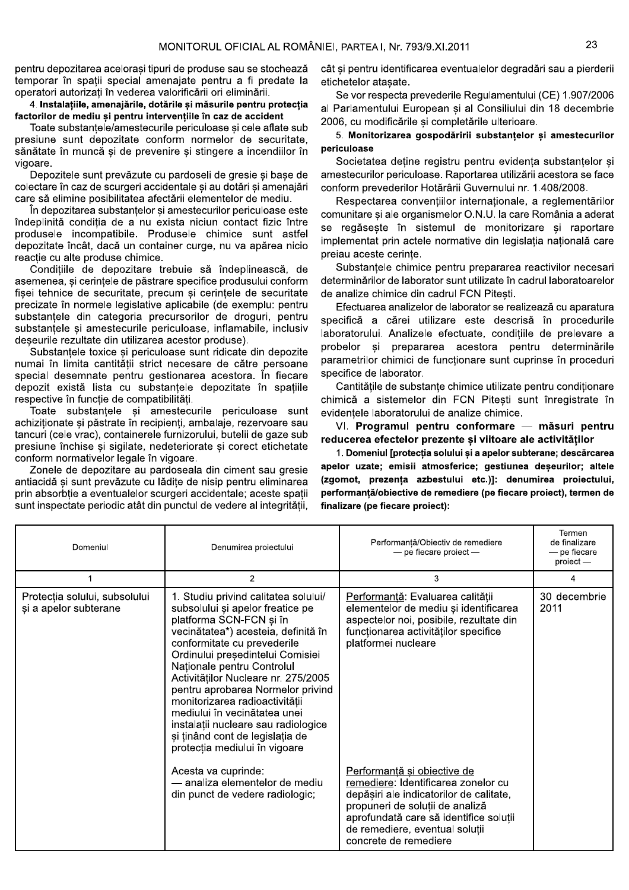pentru depozitarea acelorasi tipuri de produse sau se stochează temporar în spatii special amenajate pentru a fi predate la operatori autorizați în vederea valorificării ori eliminării.

4. Instalatiile, amenajările, dotările și măsurile pentru protectia factorilor de mediu si pentru interventiile în caz de accident

Toate substantele/amestecurile periculoase si cele aflate sub presiune sunt depozitate conform normelor de securitate. sănătate în muncă si de prevenire si stingere a incendiilor în vigoare.

Depozitele sunt prevăzute cu pardoseli de gresie si base de colectare în caz de scurgeri accidentale și au dotări și amenajări care să elimine posibilitatea afectării elementelor de mediu.

În depozitarea substantelor si amestecurilor periculoase este îndeplinită condiția de a nu exista niciun contact fizic între produsele incompatibile. Produsele chimice sunt astfel depozitate încât, dacă un container curge, nu va apărea nicio reactie cu alte produse chimice.

Condițiile de depozitare trebuie să îndeplinească, de asemenea, și cerințele de păstrare specifice produsului conform fișei tehnice de securitate, precum și cerințele de securitate precizate în normele legislative aplicabile (de exemplu: pentru substanțele din categoria precursorilor de droguri, pentru substanțele și amestecurile periculoase, inflamabile, inclusiv deseurile rezultate din utilizarea acestor produse).

Substantele toxice și periculoase sunt ridicate din depozite numai în limita cantității strict necesare de către persoane special desemnate pentru gestionarea acestora. În fiecare depozit există lista cu substanțele depozitate în spațiile respective în funcție de compatibilități.

Toate substantele și amestecurile periculoase sunt achizitionate si păstrate în recipienti, ambalaje, rezervoare sau tancuri (cele vrac), containerele furnizorului, butelii de gaze sub presiune închise si sigilate, nedeteriorate si corect etichetate conform normativelor legale în vigoare.

Zonele de depozitare au pardoseala din ciment sau gresie antiacidă și sunt prevăzute cu lădite de nisip pentru eliminarea prin absorbtie a eventualelor scurgeri accidentale; aceste spatii sunt inspectate periodic atât din punctul de vedere al integrității,

cât si pentru identificarea eventualelor degradări sau a pierderii etichetelor ataşate.

Se vor respecta prevederile Regulamentului (CE) 1.907/2006 al Parlamentului European și al Consiliului din 18 decembrie 2006, cu modificările si completările ulterioare.

# 5. Monitorizarea gospodăririi substanțelor și amestecurilor periculoase

Societatea deține registru pentru evidența substanțelor și amestecurilor periculoase. Raportarea utilizării acestora se face conform prevederilor Hotărârii Guvernului nr. 1.408/2008.

Respectarea convențiilor internaționale, a reglementărilor comunitare si ale organismelor O.N.U. la care România a aderat se regăseste în sistemul de monitorizare si raportare implementat prin actele normative din legislatia natională care preiau aceste cerinte.

Substantele chimice pentru prepararea reactivilor necesari determinărilor de laborator sunt utilizate în cadrul laboratoarelor de analize chimice din cadrul FCN Pitesti.

Efectuarea analizelor de laborator se realizează cu aparatura specifică a cărei utilizare este descrisă în procedurile laboratorului. Analizele efectuate, condițiile de prelevare a probelor si prepararea acestora pentru determinările parametrilor chimici de functionare sunt cuprinse în proceduri specifice de laborator.

Cantitățile de substanțe chimice utilizate pentru condiționare chimică a sistemelor din FCN Pitesti sunt înregistrate în evidentele laboratorului de analize chimice.

VI. Programul pentru conformare - măsuri pentru reducerea efectelor prezente si viitoare ale activitătilor

1. Domeniul [protecția solului și a apelor subterane; descărcarea apelor uzate; emisii atmosferice; gestiunea deșeurilor; altele (zgomot, prezența azbestului etc.)]: denumirea proiectului, performanță/obiective de remediere (pe fiecare proiect), termen de finalizare (pe fiecare proiect):

| Domeniul                                               | Denumirea proiectului                                                                                                                                                                                                                                                                                                                                                                                                                                                                                                       | Performanță/Obiectiv de remediere<br>$-$ pe fiecare proiect $-$                                                                                                                                                        | Termen<br>de finalizare<br>— pe fiecare<br>proiect - |
|--------------------------------------------------------|-----------------------------------------------------------------------------------------------------------------------------------------------------------------------------------------------------------------------------------------------------------------------------------------------------------------------------------------------------------------------------------------------------------------------------------------------------------------------------------------------------------------------------|------------------------------------------------------------------------------------------------------------------------------------------------------------------------------------------------------------------------|------------------------------------------------------|
|                                                        | 2                                                                                                                                                                                                                                                                                                                                                                                                                                                                                                                           | 3                                                                                                                                                                                                                      | 4                                                    |
| Protecția solului, subsolului<br>și a apelor subterane | 1. Studiu privind calitatea solului/<br>subsolului și apelor freatice pe<br>platforma SCN-FCN și în<br>vecinătatea*) acesteia, definită în<br>conformitate cu prevederile<br>Ordinului președintelui Comisiei<br>Nationale pentru Controlul<br>Activităților Nucleare nr. 275/2005<br>pentru aprobarea Normelor privind<br>monitorizarea radioactivității<br>mediului în vecinătatea unei<br>instalații nucleare sau radiologice<br>și ținând cont de legislația de<br>protecția mediului în vigoare<br>Acesta va cuprinde: | Performantă: Evaluarea calității<br>elementelor de mediu și identificarea<br>aspectelor noi, posibile, rezultate din<br>funcționarea activităților specifice<br>platformei nucleare<br>Performantă și obiective de     | 30 decembrie<br>2011                                 |
|                                                        | - analiza elementelor de mediu<br>din punct de vedere radiologic;                                                                                                                                                                                                                                                                                                                                                                                                                                                           | remediere: Identificarea zonelor cu<br>depășiri ale indicatorilor de calitate,<br>propuneri de soluții de analiză<br>aprofundată care să identifice soluții<br>de remediere, eventual soluții<br>concrete de remediere |                                                      |